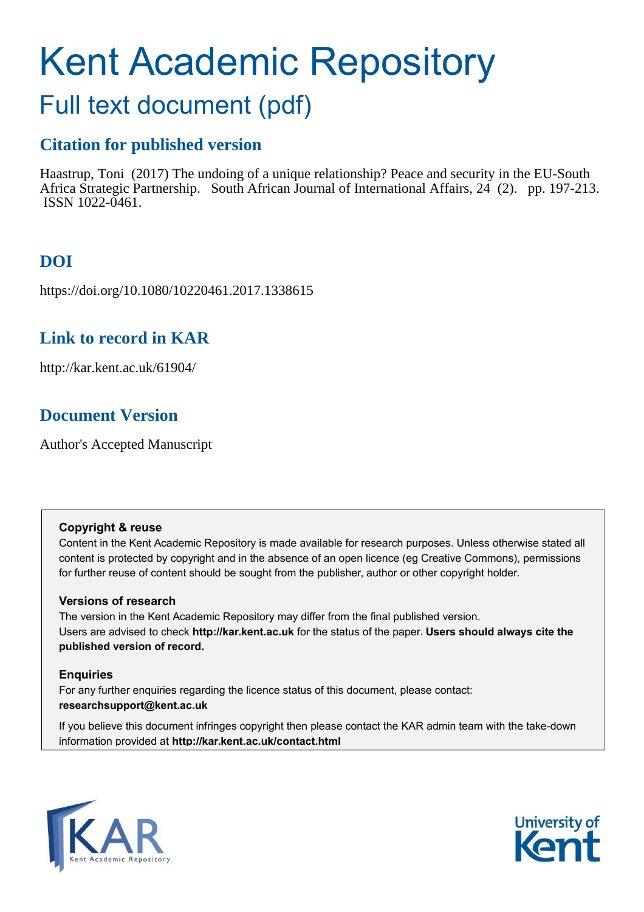# Kent Academic Repository

## Full text document (pdf)

## **Citation for published version**

Haastrup, Toni (2017) The undoing of a unique relationship? Peace and security in the EU-South Africa Strategic Partnership. South African Journal of International Affairs, 24 (2). pp. 197-213. ISSN 1022-0461.

## **DOI**

https://doi.org/10.1080/10220461.2017.1338615

### **Link to record in KAR**

http://kar.kent.ac.uk/61904/

## **Document Version**

Author's Accepted Manuscript

#### **Copyright & reuse**

Content in the Kent Academic Repository is made available for research purposes. Unless otherwise stated all content is protected by copyright and in the absence of an open licence (eg Creative Commons), permissions for further reuse of content should be sought from the publisher, author or other copyright holder.

#### **Versions of research**

The version in the Kent Academic Repository may differ from the final published version. Users are advised to check **http://kar.kent.ac.uk** for the status of the paper. **Users should always cite the published version of record.**

#### **Enquiries**

For any further enquiries regarding the licence status of this document, please contact: **researchsupport@kent.ac.uk**

If you believe this document infringes copyright then please contact the KAR admin team with the take-down information provided at **http://kar.kent.ac.uk/contact.html**



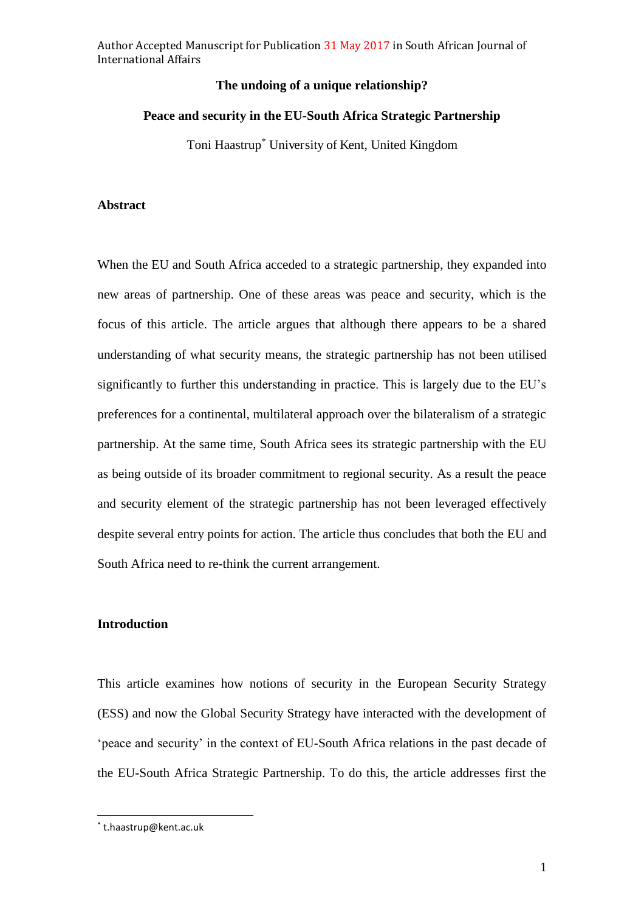#### **The undoing of a unique relationship?**

#### **Peace and security in the EU-South Africa Strategic Partnership**

Toni Haastrup\* University of Kent, United Kingdom

#### **Abstract**

When the EU and South Africa acceded to a strategic partnership, they expanded into new areas of partnership. One of these areas was peace and security, which is the focus of this article. The article argues that although there appears to be a shared understanding of what security means, the strategic partnership has not been utilised significantly to further this understanding in practice. This is largely due to the EU's preferences for a continental, multilateral approach over the bilateralism of a strategic partnership. At the same time, South Africa sees its strategic partnership with the EU as being outside of its broader commitment to regional security. As a result the peace and security element of the strategic partnership has not been leveraged effectively despite several entry points for action. The article thus concludes that both the EU and South Africa need to re-think the current arrangement.

#### **Introduction**

This article examines how notions of security in the European Security Strategy (ESS) and now the Global Security Strategy have interacted with the development of 'peace and security' in the context of EU-South Africa relations in the past decade of the EU-South Africa Strategic Partnership. To do this, the article addresses first the

 $\overline{\phantom{a}}$ 

<sup>\*</sup> t.haastrup@kent.ac.uk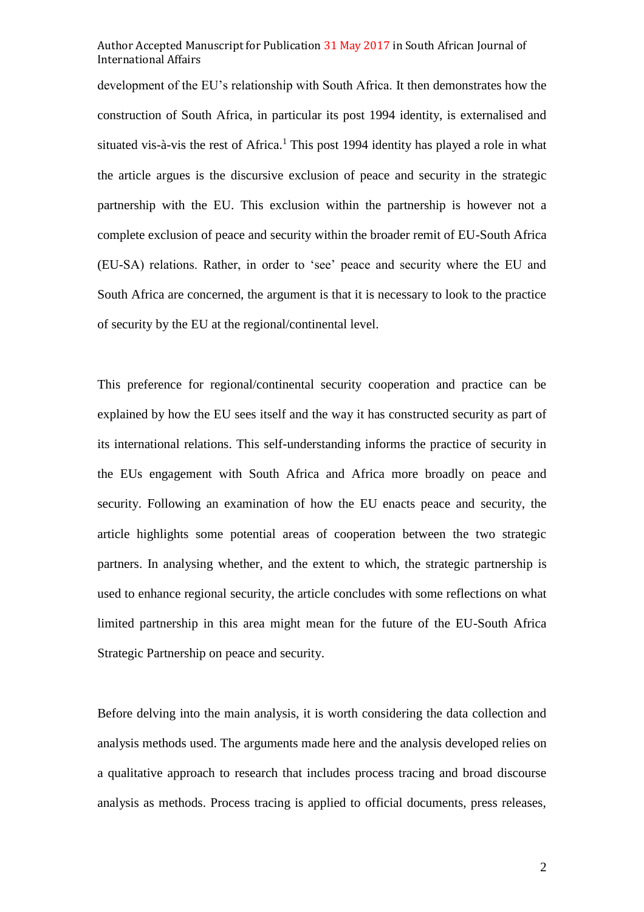development of the EU's relationship with South Africa. It then demonstrates how the construction of South Africa, in particular its post 1994 identity, is externalised and situated vis-à-vis the rest of Africa.<sup>1</sup> This post 1994 identity has played a role in what the article argues is the discursive exclusion of peace and security in the strategic partnership with the EU. This exclusion within the partnership is however not a complete exclusion of peace and security within the broader remit of EU-South Africa (EU-SA) relations. Rather, in order to 'see' peace and security where the EU and South Africa are concerned, the argument is that it is necessary to look to the practice of security by the EU at the regional/continental level.

This preference for regional/continental security cooperation and practice can be explained by how the EU sees itself and the way it has constructed security as part of its international relations. This self-understanding informs the practice of security in the EUs engagement with South Africa and Africa more broadly on peace and security. Following an examination of how the EU enacts peace and security, the article highlights some potential areas of cooperation between the two strategic partners. In analysing whether, and the extent to which, the strategic partnership is used to enhance regional security, the article concludes with some reflections on what limited partnership in this area might mean for the future of the EU-South Africa Strategic Partnership on peace and security.

Before delving into the main analysis, it is worth considering the data collection and analysis methods used. The arguments made here and the analysis developed relies on a qualitative approach to research that includes process tracing and broad discourse analysis as methods. Process tracing is applied to official documents, press releases,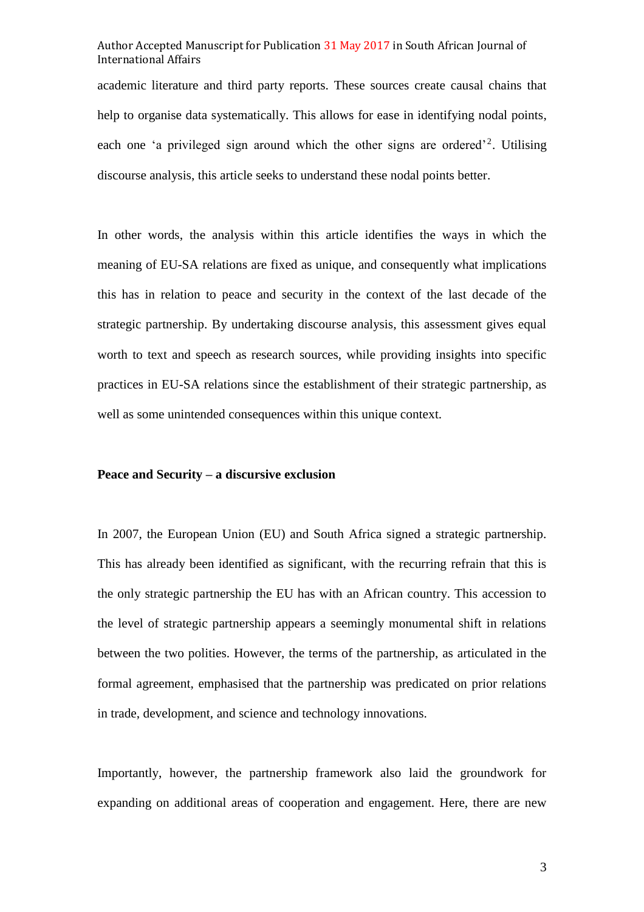academic literature and third party reports. These sources create causal chains that help to organise data systematically. This allows for ease in identifying nodal points, each one 'a privileged sign around which the other signs are ordered<sup>'2</sup>. Utilising discourse analysis, this article seeks to understand these nodal points better.

In other words, the analysis within this article identifies the ways in which the meaning of EU-SA relations are fixed as unique, and consequently what implications this has in relation to peace and security in the context of the last decade of the strategic partnership. By undertaking discourse analysis, this assessment gives equal worth to text and speech as research sources, while providing insights into specific practices in EU-SA relations since the establishment of their strategic partnership, as well as some unintended consequences within this unique context.

#### **Peace and Security – a discursive exclusion**

In 2007, the European Union (EU) and South Africa signed a strategic partnership. This has already been identified as significant, with the recurring refrain that this is the only strategic partnership the EU has with an African country. This accession to the level of strategic partnership appears a seemingly monumental shift in relations between the two polities. However, the terms of the partnership, as articulated in the formal agreement, emphasised that the partnership was predicated on prior relations in trade, development, and science and technology innovations.

Importantly, however, the partnership framework also laid the groundwork for expanding on additional areas of cooperation and engagement. Here, there are new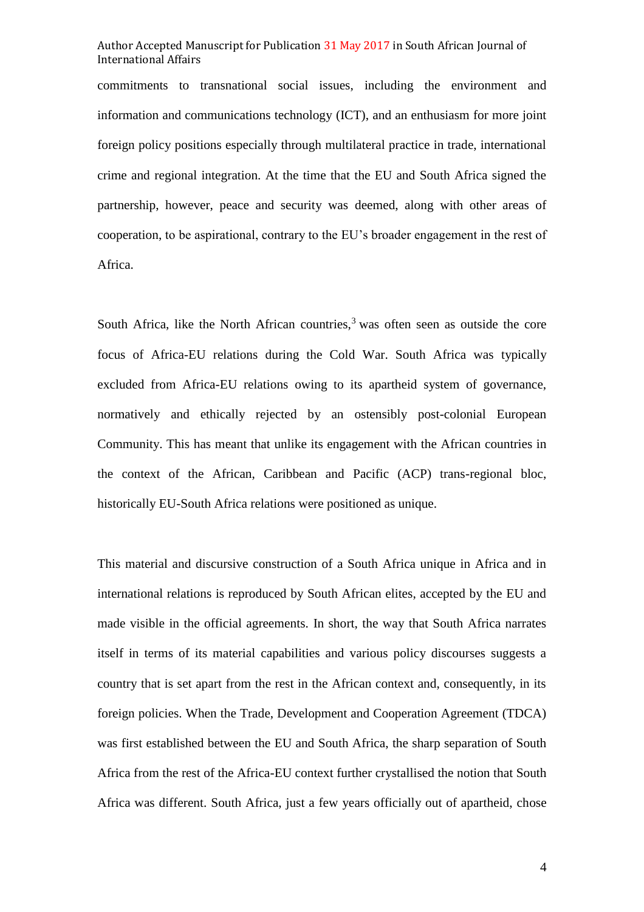commitments to transnational social issues, including the environment and information and communications technology (ICT), and an enthusiasm for more joint foreign policy positions especially through multilateral practice in trade, international crime and regional integration. At the time that the EU and South Africa signed the partnership, however, peace and security was deemed, along with other areas of cooperation, to be aspirational, contrary to the EU's broader engagement in the rest of Africa.

South Africa, like the North African countries,<sup>3</sup> was often seen as outside the core focus of Africa-EU relations during the Cold War. South Africa was typically excluded from Africa-EU relations owing to its apartheid system of governance, normatively and ethically rejected by an ostensibly post-colonial European Community. This has meant that unlike its engagement with the African countries in the context of the African, Caribbean and Pacific (ACP) trans-regional bloc, historically EU-South Africa relations were positioned as unique.

This material and discursive construction of a South Africa unique in Africa and in international relations is reproduced by South African elites, accepted by the EU and made visible in the official agreements. In short, the way that South Africa narrates itself in terms of its material capabilities and various policy discourses suggests a country that is set apart from the rest in the African context and, consequently, in its foreign policies. When the Trade, Development and Cooperation Agreement (TDCA) was first established between the EU and South Africa, the sharp separation of South Africa from the rest of the Africa-EU context further crystallised the notion that South Africa was different. South Africa, just a few years officially out of apartheid, chose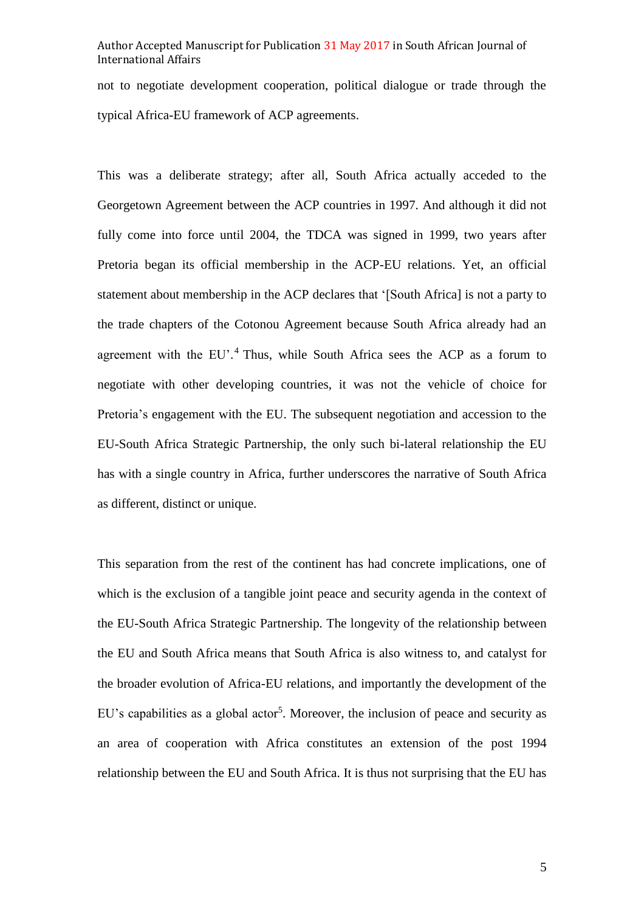not to negotiate development cooperation, political dialogue or trade through the typical Africa-EU framework of ACP agreements.

This was a deliberate strategy; after all, South Africa actually acceded to the Georgetown Agreement between the ACP countries in 1997. And although it did not fully come into force until 2004, the TDCA was signed in 1999, two years after Pretoria began its official membership in the ACP-EU relations. Yet, an official statement about membership in the ACP declares that '[South Africa] is not a party to the trade chapters of the Cotonou Agreement because South Africa already had an agreement with the EU'.<sup>4</sup> Thus, while South Africa sees the ACP as a forum to negotiate with other developing countries, it was not the vehicle of choice for Pretoria's engagement with the EU. The subsequent negotiation and accession to the EU-South Africa Strategic Partnership, the only such bi-lateral relationship the EU has with a single country in Africa, further underscores the narrative of South Africa as different, distinct or unique.

This separation from the rest of the continent has had concrete implications, one of which is the exclusion of a tangible joint peace and security agenda in the context of the EU-South Africa Strategic Partnership. The longevity of the relationship between the EU and South Africa means that South Africa is also witness to, and catalyst for the broader evolution of Africa-EU relations, and importantly the development of the EU's capabilities as a global actor<sup>5</sup>. Moreover, the inclusion of peace and security as an area of cooperation with Africa constitutes an extension of the post 1994 relationship between the EU and South Africa. It is thus not surprising that the EU has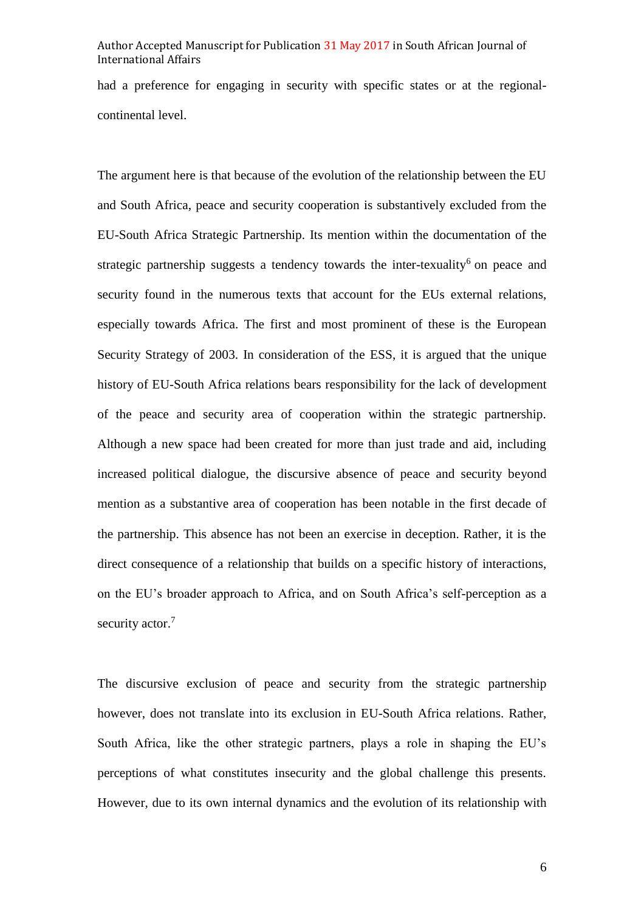had a preference for engaging in security with specific states or at the regionalcontinental level.

The argument here is that because of the evolution of the relationship between the EU and South Africa, peace and security cooperation is substantively excluded from the EU-South Africa Strategic Partnership. Its mention within the documentation of the strategic partnership suggests a tendency towards the inter-texuality<sup>6</sup> on peace and security found in the numerous texts that account for the EUs external relations, especially towards Africa. The first and most prominent of these is the European Security Strategy of 2003. In consideration of the ESS, it is argued that the unique history of EU-South Africa relations bears responsibility for the lack of development of the peace and security area of cooperation within the strategic partnership. Although a new space had been created for more than just trade and aid, including increased political dialogue, the discursive absence of peace and security beyond mention as a substantive area of cooperation has been notable in the first decade of the partnership. This absence has not been an exercise in deception. Rather, it is the direct consequence of a relationship that builds on a specific history of interactions, on the EU's broader approach to Africa, and on South Africa's self-perception as a security actor.<sup>7</sup>

The discursive exclusion of peace and security from the strategic partnership however, does not translate into its exclusion in EU-South Africa relations. Rather, South Africa, like the other strategic partners, plays a role in shaping the EU's perceptions of what constitutes insecurity and the global challenge this presents. However, due to its own internal dynamics and the evolution of its relationship with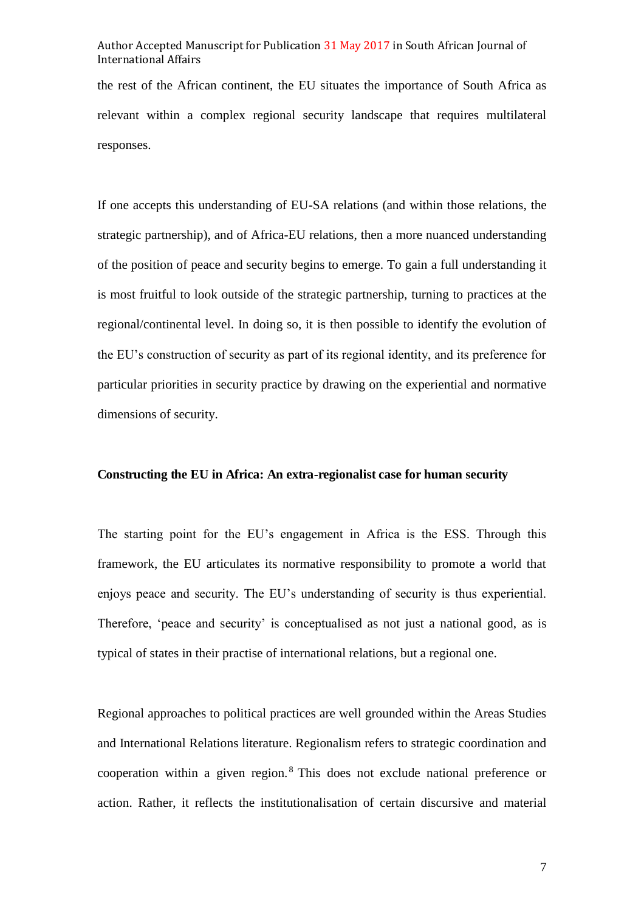the rest of the African continent, the EU situates the importance of South Africa as relevant within a complex regional security landscape that requires multilateral responses.

If one accepts this understanding of EU-SA relations (and within those relations, the strategic partnership), and of Africa-EU relations, then a more nuanced understanding of the position of peace and security begins to emerge. To gain a full understanding it is most fruitful to look outside of the strategic partnership, turning to practices at the regional/continental level. In doing so, it is then possible to identify the evolution of the EU's construction of security as part of its regional identity, and its preference for particular priorities in security practice by drawing on the experiential and normative dimensions of security.

#### **Constructing the EU in Africa: An extra-regionalist case for human security**

The starting point for the EU's engagement in Africa is the ESS. Through this framework, the EU articulates its normative responsibility to promote a world that enjoys peace and security. The EU's understanding of security is thus experiential. Therefore, 'peace and security' is conceptualised as not just a national good, as is typical of states in their practise of international relations, but a regional one.

Regional approaches to political practices are well grounded within the Areas Studies and International Relations literature. Regionalism refers to strategic coordination and cooperation within a given region.<sup>8</sup> This does not exclude national preference or action. Rather, it reflects the institutionalisation of certain discursive and material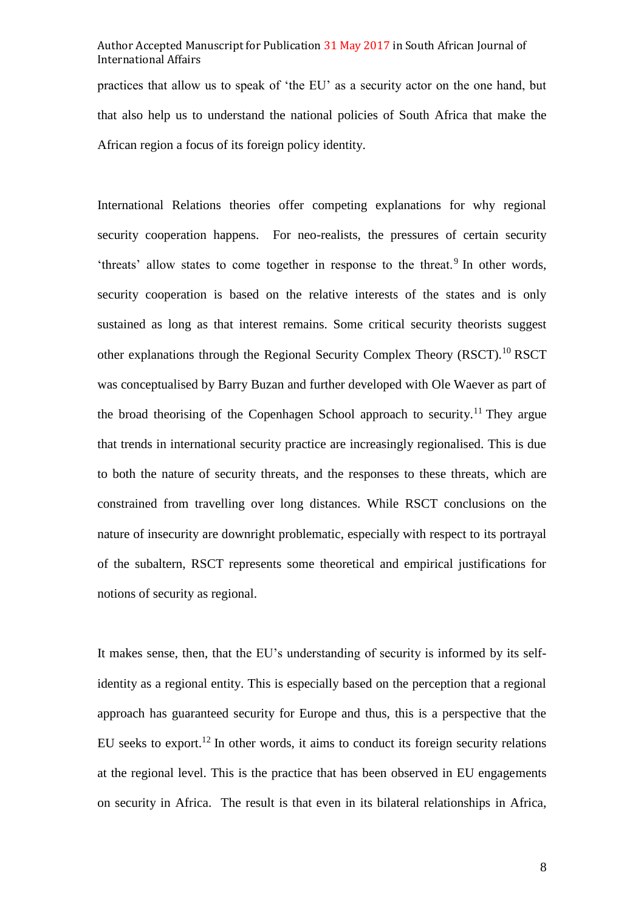practices that allow us to speak of 'the EU' as a security actor on the one hand, but that also help us to understand the national policies of South Africa that make the African region a focus of its foreign policy identity.

International Relations theories offer competing explanations for why regional security cooperation happens. For neo-realists, the pressures of certain security 'threats' allow states to come together in response to the threat.<sup>9</sup> In other words, security cooperation is based on the relative interests of the states and is only sustained as long as that interest remains. Some critical security theorists suggest other explanations through the Regional Security Complex Theory (RSCT).<sup>10</sup> RSCT was conceptualised by Barry Buzan and further developed with Ole Waever as part of the broad theorising of the Copenhagen School approach to security.<sup>11</sup> They argue that trends in international security practice are increasingly regionalised. This is due to both the nature of security threats, and the responses to these threats, which are constrained from travelling over long distances. While RSCT conclusions on the nature of insecurity are downright problematic, especially with respect to its portrayal of the subaltern, RSCT represents some theoretical and empirical justifications for notions of security as regional.

It makes sense, then, that the EU's understanding of security is informed by its selfidentity as a regional entity. This is especially based on the perception that a regional approach has guaranteed security for Europe and thus, this is a perspective that the EU seeks to export.<sup>12</sup> In other words, it aims to conduct its foreign security relations at the regional level. This is the practice that has been observed in EU engagements on security in Africa. The result is that even in its bilateral relationships in Africa,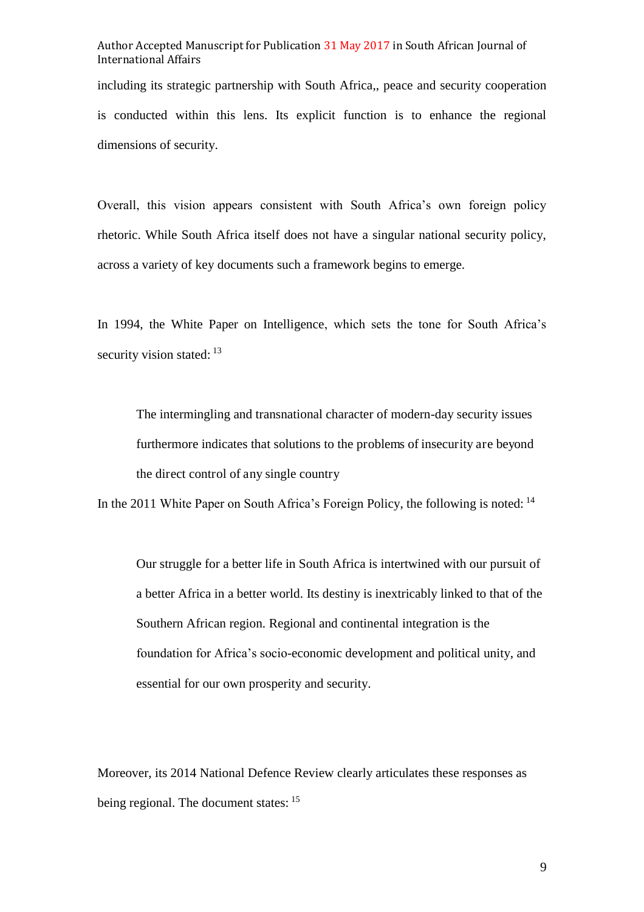including its strategic partnership with South Africa,, peace and security cooperation is conducted within this lens. Its explicit function is to enhance the regional dimensions of security.

Overall, this vision appears consistent with South Africa's own foreign policy rhetoric. While South Africa itself does not have a singular national security policy, across a variety of key documents such a framework begins to emerge.

In 1994, the White Paper on Intelligence, which sets the tone for South Africa's security vision stated: <sup>13</sup>

The intermingling and transnational character of modern-day security issues furthermore indicates that solutions to the problems of insecurity are beyond the direct control of any single country

In the 2011 White Paper on South Africa's Foreign Policy, the following is noted: <sup>14</sup>

Our struggle for a better life in South Africa is intertwined with our pursuit of a better Africa in a better world. Its destiny is inextricably linked to that of the Southern African region. Regional and continental integration is the foundation for Africa's socio-economic development and political unity, and essential for our own prosperity and security.

Moreover, its 2014 National Defence Review clearly articulates these responses as being regional. The document states: <sup>15</sup>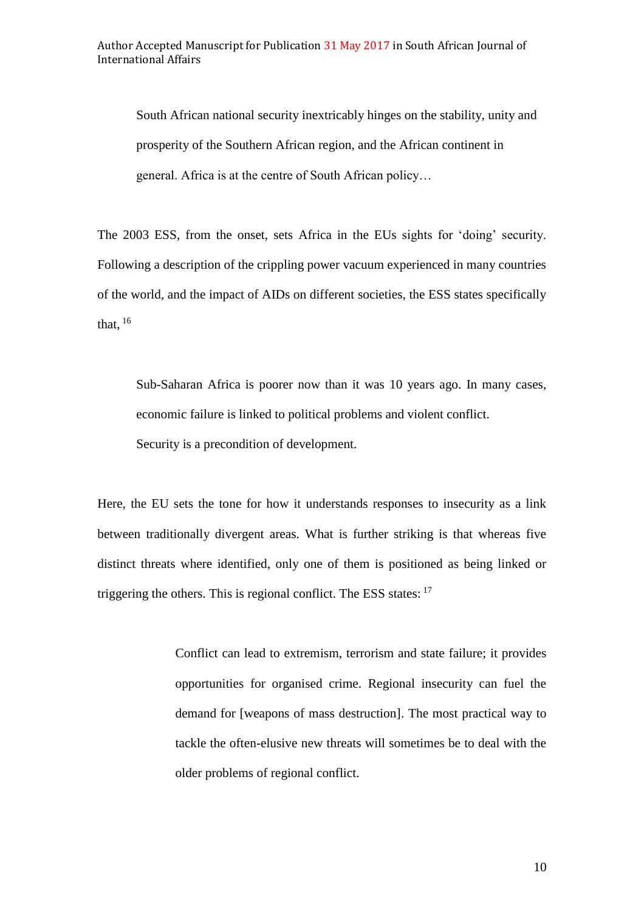South African national security inextricably hinges on the stability, unity and prosperity of the Southern African region, and the African continent in general. Africa is at the centre of South African policy…

The 2003 ESS, from the onset, sets Africa in the EUs sights for 'doing' security. Following a description of the crippling power vacuum experienced in many countries of the world, and the impact of AIDs on different societies, the ESS states specifically that,  $^{16}$ 

Sub-Saharan Africa is poorer now than it was 10 years ago. In many cases, economic failure is linked to political problems and violent conflict. Security is a precondition of development.

Here, the EU sets the tone for how it understands responses to insecurity as a link between traditionally divergent areas. What is further striking is that whereas five distinct threats where identified, only one of them is positioned as being linked or triggering the others. This is regional conflict. The ESS states:  $17$ 

> Conflict can lead to extremism, terrorism and state failure; it provides opportunities for organised crime. Regional insecurity can fuel the demand for [weapons of mass destruction]. The most practical way to tackle the often-elusive new threats will sometimes be to deal with the older problems of regional conflict.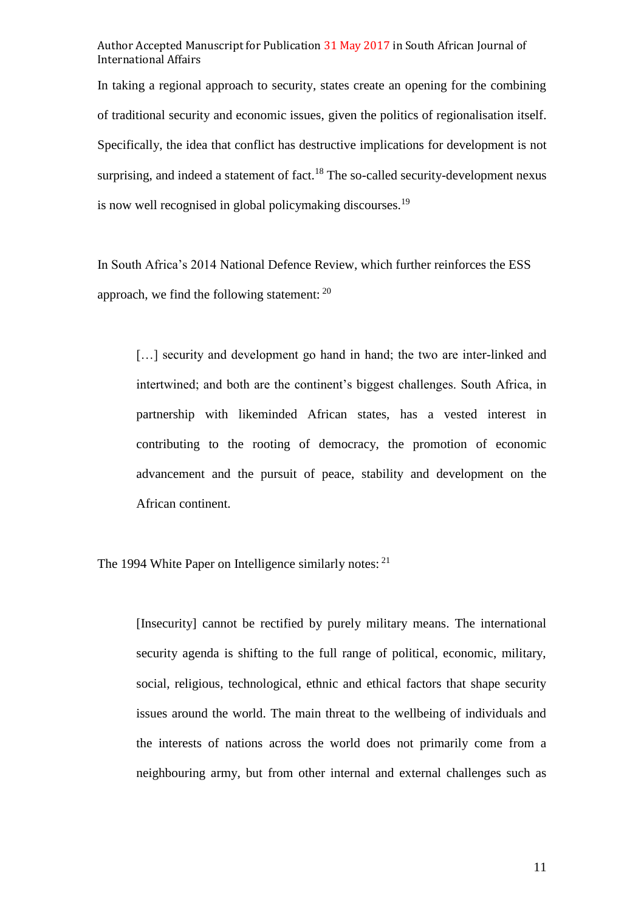In taking a regional approach to security, states create an opening for the combining of traditional security and economic issues, given the politics of regionalisation itself. Specifically, the idea that conflict has destructive implications for development is not surprising, and indeed a statement of fact.<sup>18</sup> The so-called security-development nexus is now well recognised in global policymaking discourses.<sup>19</sup>

In South Africa's 2014 National Defence Review, which further reinforces the ESS approach, we find the following statement: <sup>20</sup>

[...] security and development go hand in hand; the two are inter-linked and intertwined; and both are the continent's biggest challenges. South Africa, in partnership with likeminded African states, has a vested interest in contributing to the rooting of democracy, the promotion of economic advancement and the pursuit of peace, stability and development on the African continent.

The 1994 White Paper on Intelligence similarly notes: <sup>21</sup>

[Insecurity] cannot be rectified by purely military means. The international security agenda is shifting to the full range of political, economic, military, social, religious, technological, ethnic and ethical factors that shape security issues around the world. The main threat to the wellbeing of individuals and the interests of nations across the world does not primarily come from a neighbouring army, but from other internal and external challenges such as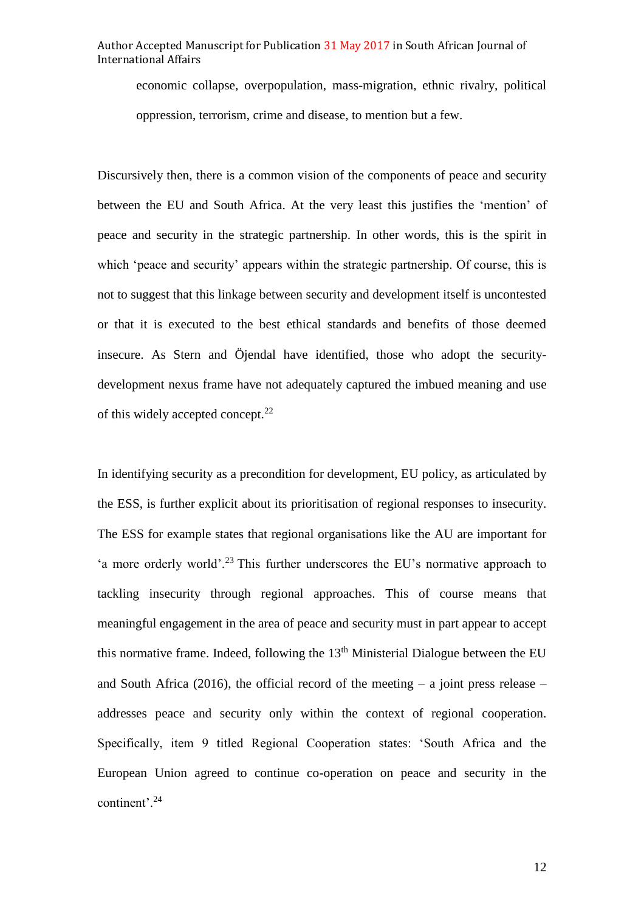economic collapse, overpopulation, mass-migration, ethnic rivalry, political oppression, terrorism, crime and disease, to mention but a few.

Discursively then, there is a common vision of the components of peace and security between the EU and South Africa. At the very least this justifies the 'mention' of peace and security in the strategic partnership. In other words, this is the spirit in which 'peace and security' appears within the strategic partnership. Of course, this is not to suggest that this linkage between security and development itself is uncontested or that it is executed to the best ethical standards and benefits of those deemed insecure. As Stern and Öjendal have identified, those who adopt the securitydevelopment nexus frame have not adequately captured the imbued meaning and use of this widely accepted concept.<sup>22</sup>

In identifying security as a precondition for development, EU policy, as articulated by the ESS, is further explicit about its prioritisation of regional responses to insecurity. The ESS for example states that regional organisations like the AU are important for 'a more orderly world'.<sup>23</sup> This further underscores the EU's normative approach to tackling insecurity through regional approaches. This of course means that meaningful engagement in the area of peace and security must in part appear to accept this normative frame. Indeed, following the  $13<sup>th</sup>$  Ministerial Dialogue between the EU and South Africa (2016), the official record of the meeting  $-$  a joint press release  $$ addresses peace and security only within the context of regional cooperation. Specifically, item 9 titled Regional Cooperation states: 'South Africa and the European Union agreed to continue co-operation on peace and security in the continent'.<sup>24</sup>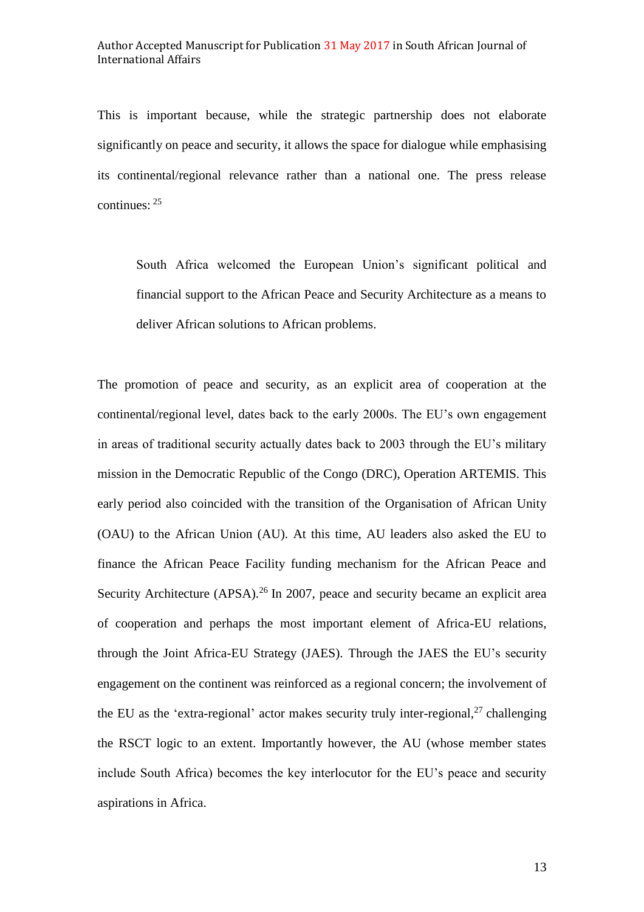This is important because, while the strategic partnership does not elaborate significantly on peace and security, it allows the space for dialogue while emphasising its continental/regional relevance rather than a national one. The press release continues: <sup>25</sup>

South Africa welcomed the European Union's significant political and financial support to the African Peace and Security Architecture as a means to deliver African solutions to African problems.

The promotion of peace and security, as an explicit area of cooperation at the continental/regional level, dates back to the early 2000s. The EU's own engagement in areas of traditional security actually dates back to 2003 through the EU's military mission in the Democratic Republic of the Congo (DRC), Operation ARTEMIS. This early period also coincided with the transition of the Organisation of African Unity (OAU) to the African Union (AU). At this time, AU leaders also asked the EU to finance the African Peace Facility funding mechanism for the African Peace and Security Architecture (APSA).<sup>26</sup> In 2007, peace and security became an explicit area of cooperation and perhaps the most important element of Africa-EU relations, through the Joint Africa-EU Strategy (JAES). Through the JAES the EU's security engagement on the continent was reinforced as a regional concern; the involvement of the EU as the 'extra-regional' actor makes security truly inter-regional,<sup>27</sup> challenging the RSCT logic to an extent. Importantly however, the AU (whose member states include South Africa) becomes the key interlocutor for the EU's peace and security aspirations in Africa.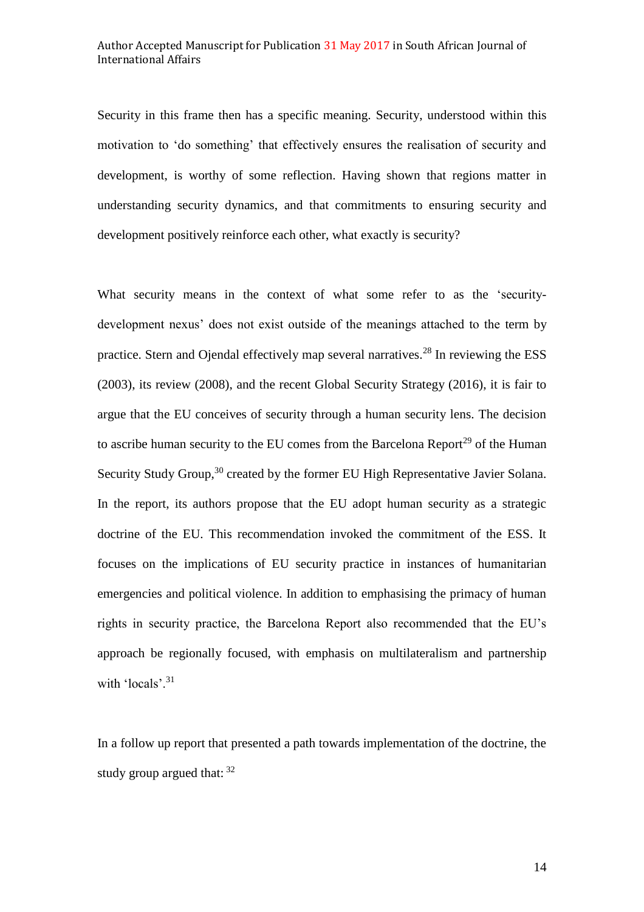Security in this frame then has a specific meaning. Security, understood within this motivation to 'do something' that effectively ensures the realisation of security and development, is worthy of some reflection. Having shown that regions matter in understanding security dynamics, and that commitments to ensuring security and development positively reinforce each other, what exactly is security?

What security means in the context of what some refer to as the 'securitydevelopment nexus' does not exist outside of the meanings attached to the term by practice. Stern and Ojendal effectively map several narratives.<sup>28</sup> In reviewing the ESS (2003), its review (2008), and the recent Global Security Strategy (2016), it is fair to argue that the EU conceives of security through a human security lens. The decision to ascribe human security to the EU comes from the Barcelona Report<sup>29</sup> of the Human Security Study Group,<sup>30</sup> created by the former EU High Representative Javier Solana. In the report, its authors propose that the EU adopt human security as a strategic doctrine of the EU. This recommendation invoked the commitment of the ESS. It focuses on the implications of EU security practice in instances of humanitarian emergencies and political violence. In addition to emphasising the primacy of human rights in security practice, the Barcelona Report also recommended that the EU's approach be regionally focused, with emphasis on multilateralism and partnership with 'locals'.<sup>31</sup>

In a follow up report that presented a path towards implementation of the doctrine, the study group argued that:  $32$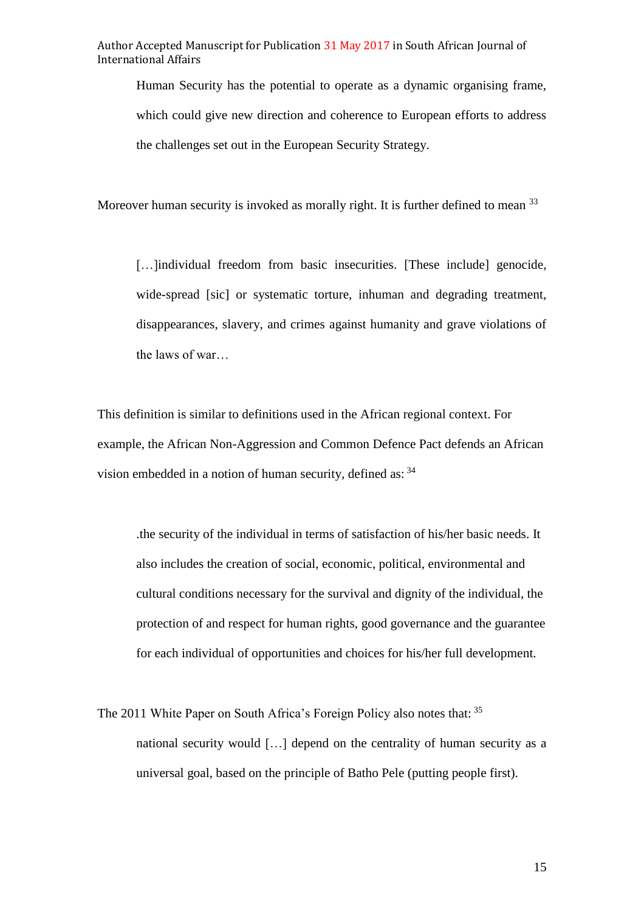Human Security has the potential to operate as a dynamic organising frame, which could give new direction and coherence to European efforts to address the challenges set out in the European Security Strategy.

Moreover human security is invoked as morally right. It is further defined to mean <sup>33</sup>

[...]individual freedom from basic insecurities. [These include] genocide, wide-spread [sic] or systematic torture, inhuman and degrading treatment, disappearances, slavery, and crimes against humanity and grave violations of the laws of war…

This definition is similar to definitions used in the African regional context. For example, the African Non-Aggression and Common Defence Pact defends an African vision embedded in a notion of human security, defined as:  $34$ 

.the security of the individual in terms of satisfaction of his/her basic needs. It also includes the creation of social, economic, political, environmental and cultural conditions necessary for the survival and dignity of the individual, the protection of and respect for human rights, good governance and the guarantee for each individual of opportunities and choices for his/her full development.

The 2011 White Paper on South Africa's Foreign Policy also notes that: <sup>35</sup> national security would […] depend on the centrality of human security as a universal goal, based on the principle of Batho Pele (putting people first).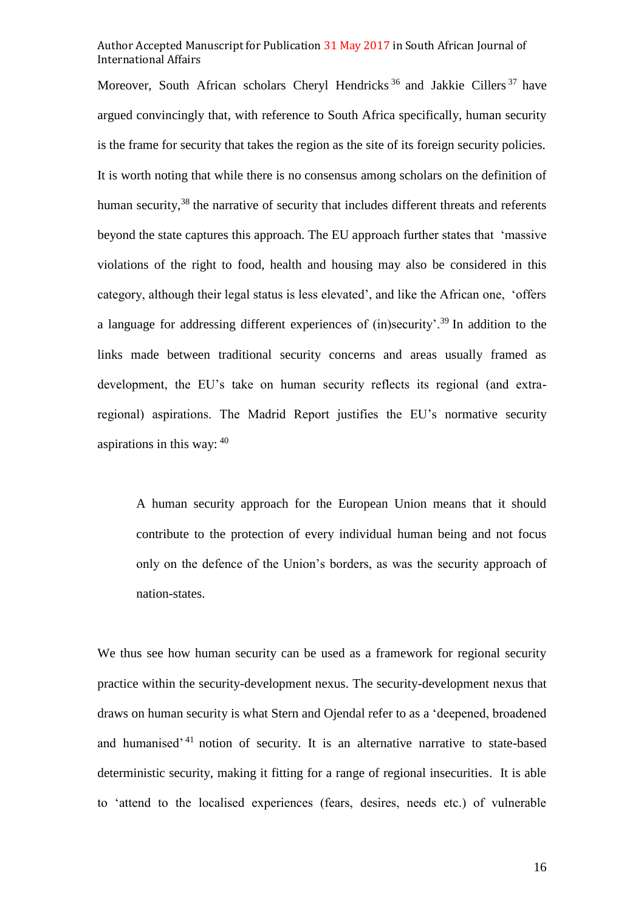Moreover, South African scholars Cheryl Hendricks<sup>36</sup> and Jakkie Cillers<sup>37</sup> have argued convincingly that, with reference to South Africa specifically, human security is the frame for security that takes the region as the site of its foreign security policies. It is worth noting that while there is no consensus among scholars on the definition of human security,<sup>38</sup> the narrative of security that includes different threats and referents beyond the state captures this approach. The EU approach further states that 'massive violations of the right to food, health and housing may also be considered in this category, although their legal status is less elevated', and like the African one, 'offers a language for addressing different experiences of (in)security'.<sup>39</sup> In addition to the links made between traditional security concerns and areas usually framed as development, the EU's take on human security reflects its regional (and extraregional) aspirations. The Madrid Report justifies the EU's normative security aspirations in this way: <sup>40</sup>

A human security approach for the European Union means that it should contribute to the protection of every individual human being and not focus only on the defence of the Union's borders, as was the security approach of nation-states.

We thus see how human security can be used as a framework for regional security practice within the security-development nexus. The security-development nexus that draws on human security is what Stern and Ojendal refer to as a 'deepened, broadened and humanised<sup>'41</sup> notion of security. It is an alternative narrative to state-based deterministic security, making it fitting for a range of regional insecurities. It is able to 'attend to the localised experiences (fears, desires, needs etc.) of vulnerable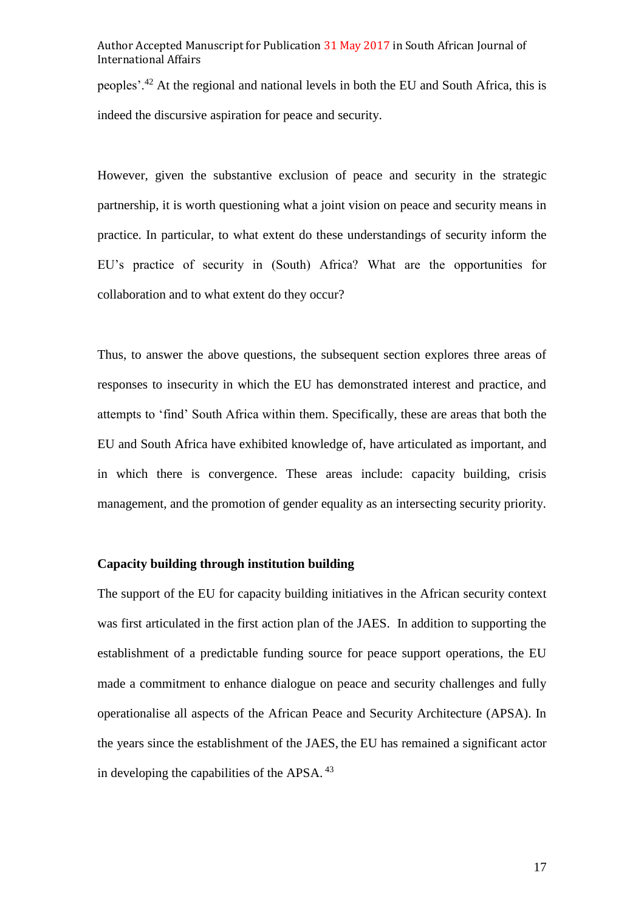peoples'.<sup>42</sup> At the regional and national levels in both the EU and South Africa, this is indeed the discursive aspiration for peace and security.

However, given the substantive exclusion of peace and security in the strategic partnership, it is worth questioning what a joint vision on peace and security means in practice. In particular, to what extent do these understandings of security inform the EU's practice of security in (South) Africa? What are the opportunities for collaboration and to what extent do they occur?

Thus, to answer the above questions, the subsequent section explores three areas of responses to insecurity in which the EU has demonstrated interest and practice, and attempts to 'find' South Africa within them. Specifically, these are areas that both the EU and South Africa have exhibited knowledge of, have articulated as important, and in which there is convergence. These areas include: capacity building, crisis management, and the promotion of gender equality as an intersecting security priority.

#### **Capacity building through institution building**

The support of the EU for capacity building initiatives in the African security context was first articulated in the first action plan of the JAES. In addition to supporting the establishment of a predictable funding source for peace support operations, the EU made a commitment to enhance dialogue on peace and security challenges and fully operationalise all aspects of the African Peace and Security Architecture (APSA). In the years since the establishment of the JAES, the EU has remained a significant actor in developing the capabilities of the APSA.<sup>43</sup>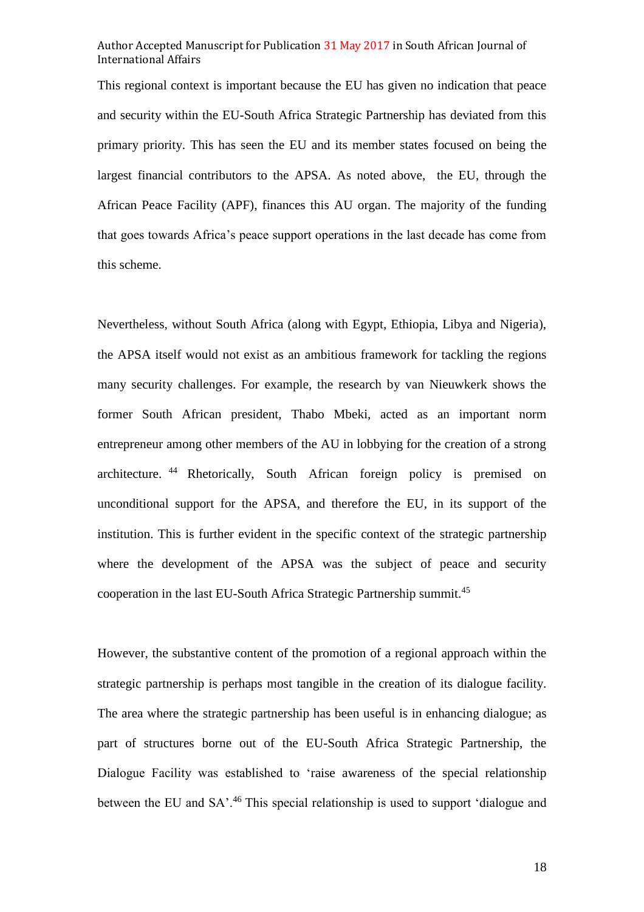This regional context is important because the EU has given no indication that peace and security within the EU-South Africa Strategic Partnership has deviated from this primary priority. This has seen the EU and its member states focused on being the largest financial contributors to the APSA. As noted above, the EU, through the African Peace Facility (APF), finances this AU organ. The majority of the funding that goes towards Africa's peace support operations in the last decade has come from this scheme.

Nevertheless, without South Africa (along with Egypt, Ethiopia, Libya and Nigeria), the APSA itself would not exist as an ambitious framework for tackling the regions many security challenges. For example, the research by van Nieuwkerk shows the former South African president, Thabo Mbeki, acted as an important norm entrepreneur among other members of the AU in lobbying for the creation of a strong architecture. <sup>44</sup> Rhetorically, South African foreign policy is premised on unconditional support for the APSA, and therefore the EU, in its support of the institution. This is further evident in the specific context of the strategic partnership where the development of the APSA was the subject of peace and security cooperation in the last EU-South Africa Strategic Partnership summit.<sup>45</sup>

However, the substantive content of the promotion of a regional approach within the strategic partnership is perhaps most tangible in the creation of its dialogue facility. The area where the strategic partnership has been useful is in enhancing dialogue; as part of structures borne out of the EU-South Africa Strategic Partnership, the Dialogue Facility was established to 'raise awareness of the special relationship between the EU and SA'.<sup>46</sup> This special relationship is used to support 'dialogue and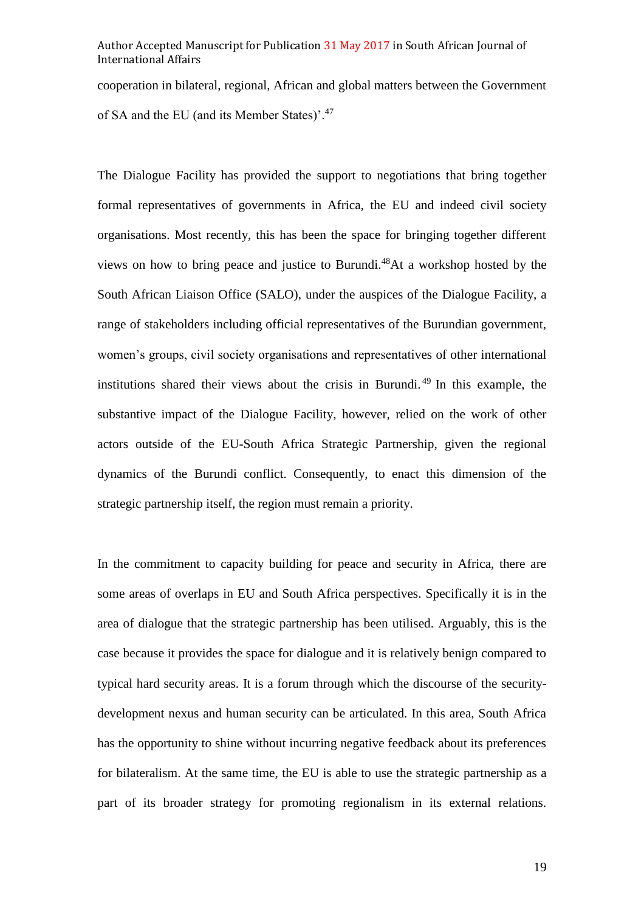cooperation in bilateral, regional, African and global matters between the Government of SA and the EU (and its Member States)'.<sup>47</sup>

The Dialogue Facility has provided the support to negotiations that bring together formal representatives of governments in Africa, the EU and indeed civil society organisations. Most recently, this has been the space for bringing together different views on how to bring peace and justice to Burundi.<sup>48</sup>At a workshop hosted by the South African Liaison Office (SALO), under the auspices of the Dialogue Facility, a range of stakeholders including official representatives of the Burundian government, women's groups, civil society organisations and representatives of other international institutions shared their views about the crisis in Burundi. <sup>49</sup> In this example, the substantive impact of the Dialogue Facility, however, relied on the work of other actors outside of the EU-South Africa Strategic Partnership, given the regional dynamics of the Burundi conflict. Consequently, to enact this dimension of the strategic partnership itself, the region must remain a priority.

In the commitment to capacity building for peace and security in Africa, there are some areas of overlaps in EU and South Africa perspectives. Specifically it is in the area of dialogue that the strategic partnership has been utilised. Arguably, this is the case because it provides the space for dialogue and it is relatively benign compared to typical hard security areas. It is a forum through which the discourse of the securitydevelopment nexus and human security can be articulated. In this area, South Africa has the opportunity to shine without incurring negative feedback about its preferences for bilateralism. At the same time, the EU is able to use the strategic partnership as a part of its broader strategy for promoting regionalism in its external relations.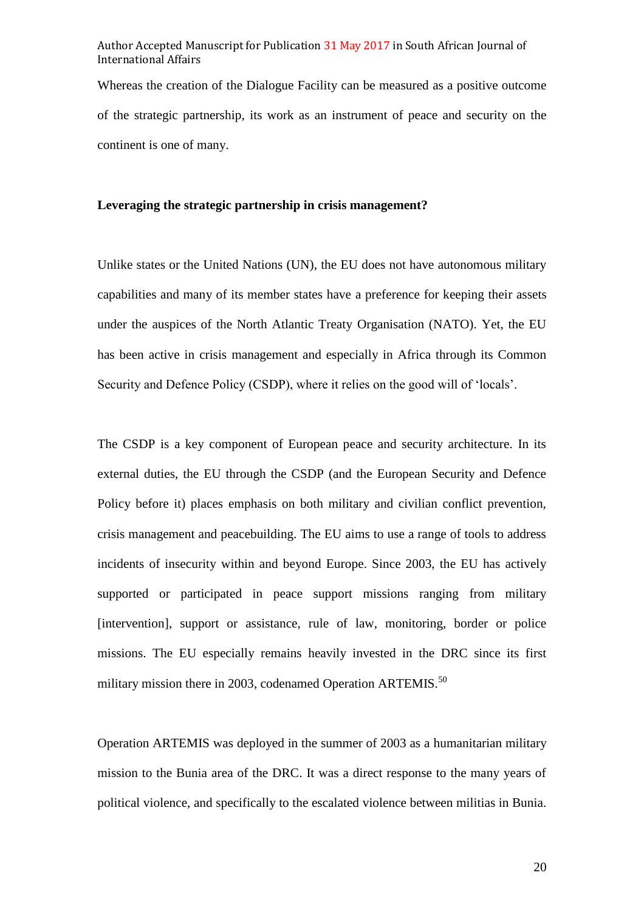Whereas the creation of the Dialogue Facility can be measured as a positive outcome of the strategic partnership, its work as an instrument of peace and security on the continent is one of many.

#### **Leveraging the strategic partnership in crisis management?**

Unlike states or the United Nations (UN), the EU does not have autonomous military capabilities and many of its member states have a preference for keeping their assets under the auspices of the North Atlantic Treaty Organisation (NATO). Yet, the EU has been active in crisis management and especially in Africa through its Common Security and Defence Policy (CSDP), where it relies on the good will of 'locals'.

The CSDP is a key component of European peace and security architecture. In its external duties, the EU through the CSDP (and the European Security and Defence Policy before it) places emphasis on both military and civilian conflict prevention, crisis management and peacebuilding. The EU aims to use a range of tools to address incidents of insecurity within and beyond Europe. Since 2003, the EU has actively supported or participated in peace support missions ranging from military [intervention], support or assistance, rule of law, monitoring, border or police missions. The EU especially remains heavily invested in the DRC since its first military mission there in 2003, codenamed Operation ARTEMIS.<sup>50</sup>

Operation ARTEMIS was deployed in the summer of 2003 as a humanitarian military mission to the Bunia area of the DRC. It was a direct response to the many years of political violence, and specifically to the escalated violence between militias in Bunia.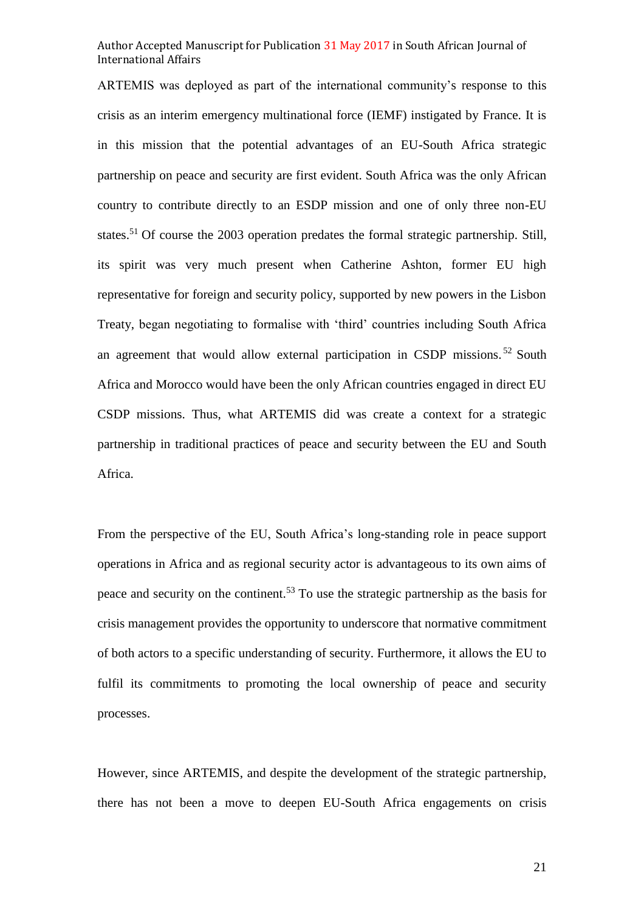ARTEMIS was deployed as part of the international community's response to this crisis as an interim emergency multinational force (IEMF) instigated by France. It is in this mission that the potential advantages of an EU-South Africa strategic partnership on peace and security are first evident. South Africa was the only African country to contribute directly to an ESDP mission and one of only three non-EU states.<sup>51</sup> Of course the 2003 operation predates the formal strategic partnership. Still, its spirit was very much present when Catherine Ashton, former EU high representative for foreign and security policy, supported by new powers in the Lisbon Treaty, began negotiating to formalise with 'third' countries including South Africa an agreement that would allow external participation in CSDP missions. <sup>52</sup> South Africa and Morocco would have been the only African countries engaged in direct EU CSDP missions. Thus, what ARTEMIS did was create a context for a strategic partnership in traditional practices of peace and security between the EU and South Africa.

From the perspective of the EU, South Africa's long-standing role in peace support operations in Africa and as regional security actor is advantageous to its own aims of peace and security on the continent.<sup>53</sup> To use the strategic partnership as the basis for crisis management provides the opportunity to underscore that normative commitment of both actors to a specific understanding of security. Furthermore, it allows the EU to fulfil its commitments to promoting the local ownership of peace and security processes.

However, since ARTEMIS, and despite the development of the strategic partnership, there has not been a move to deepen EU-South Africa engagements on crisis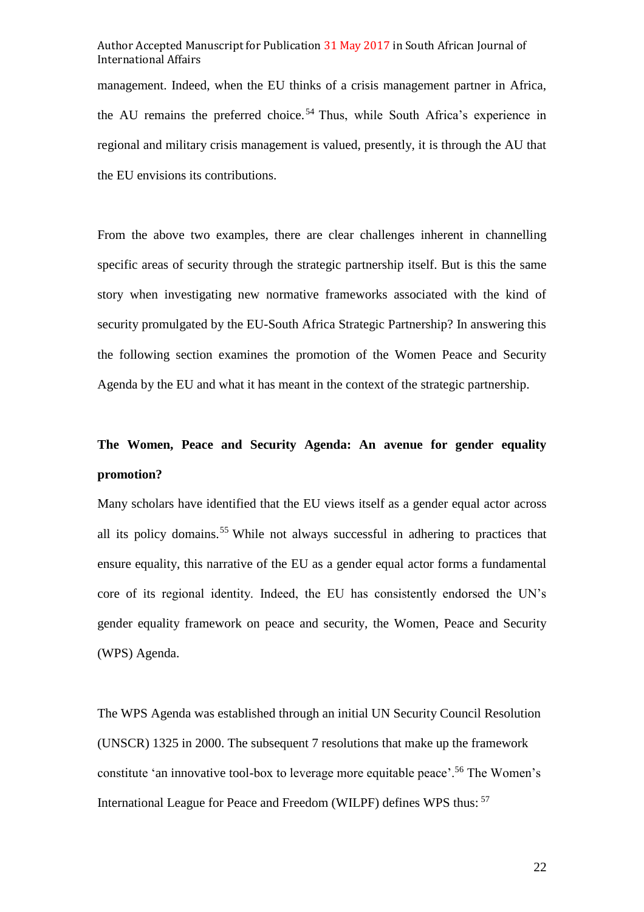management. Indeed, when the EU thinks of a crisis management partner in Africa, the AU remains the preferred choice.<sup>54</sup> Thus, while South Africa's experience in regional and military crisis management is valued, presently, it is through the AU that the EU envisions its contributions.

From the above two examples, there are clear challenges inherent in channelling specific areas of security through the strategic partnership itself. But is this the same story when investigating new normative frameworks associated with the kind of security promulgated by the EU-South Africa Strategic Partnership? In answering this the following section examines the promotion of the Women Peace and Security Agenda by the EU and what it has meant in the context of the strategic partnership.

## **The Women, Peace and Security Agenda: An avenue for gender equality promotion?**

Many scholars have identified that the EU views itself as a gender equal actor across all its policy domains.<sup>55</sup> While not always successful in adhering to practices that ensure equality, this narrative of the EU as a gender equal actor forms a fundamental core of its regional identity. Indeed, the EU has consistently endorsed the UN's gender equality framework on peace and security, the Women, Peace and Security (WPS) Agenda.

The WPS Agenda was established through an initial UN Security Council Resolution (UNSCR) 1325 in 2000. The subsequent 7 resolutions that make up the framework constitute 'an innovative tool-box to leverage more equitable peace'.<sup>56</sup> The Women's International League for Peace and Freedom (WILPF) defines WPS thus: <sup>57</sup>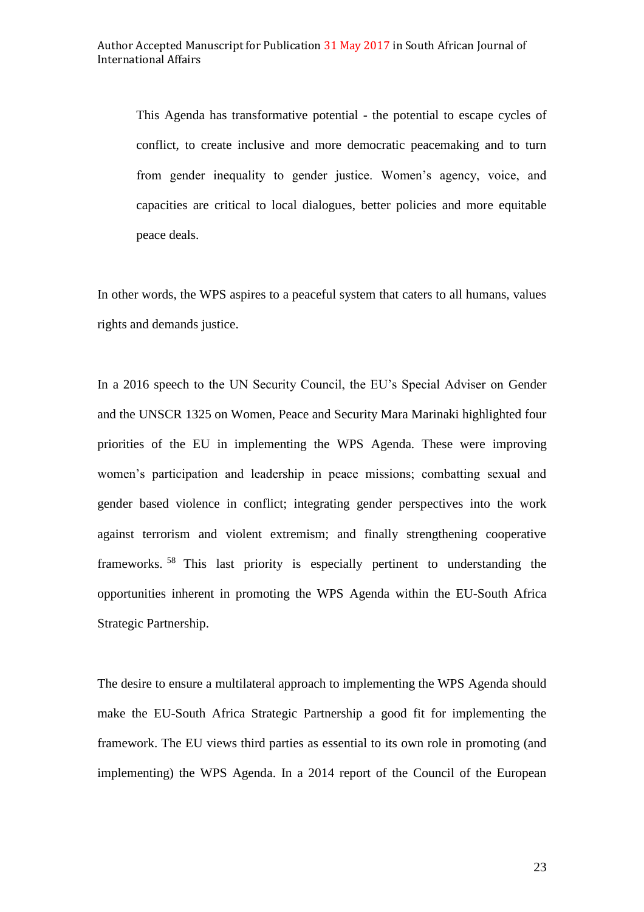This Agenda has transformative potential - the potential to escape cycles of conflict, to create inclusive and more democratic peacemaking and to turn from gender inequality to gender justice. Women's agency, voice, and capacities are critical to local dialogues, better policies and more equitable peace deals.

In other words, the WPS aspires to a peaceful system that caters to all humans, values rights and demands justice.

In a 2016 speech to the UN Security Council, the EU's Special Adviser on Gender and the UNSCR 1325 on Women, Peace and Security Mara Marinaki highlighted four priorities of the EU in implementing the WPS Agenda. These were improving women's participation and leadership in peace missions; combatting sexual and gender based violence in conflict; integrating gender perspectives into the work against terrorism and violent extremism; and finally strengthening cooperative frameworks. <sup>58</sup> This last priority is especially pertinent to understanding the opportunities inherent in promoting the WPS Agenda within the EU-South Africa Strategic Partnership.

The desire to ensure a multilateral approach to implementing the WPS Agenda should make the EU-South Africa Strategic Partnership a good fit for implementing the framework. The EU views third parties as essential to its own role in promoting (and implementing) the WPS Agenda. In a 2014 report of the Council of the European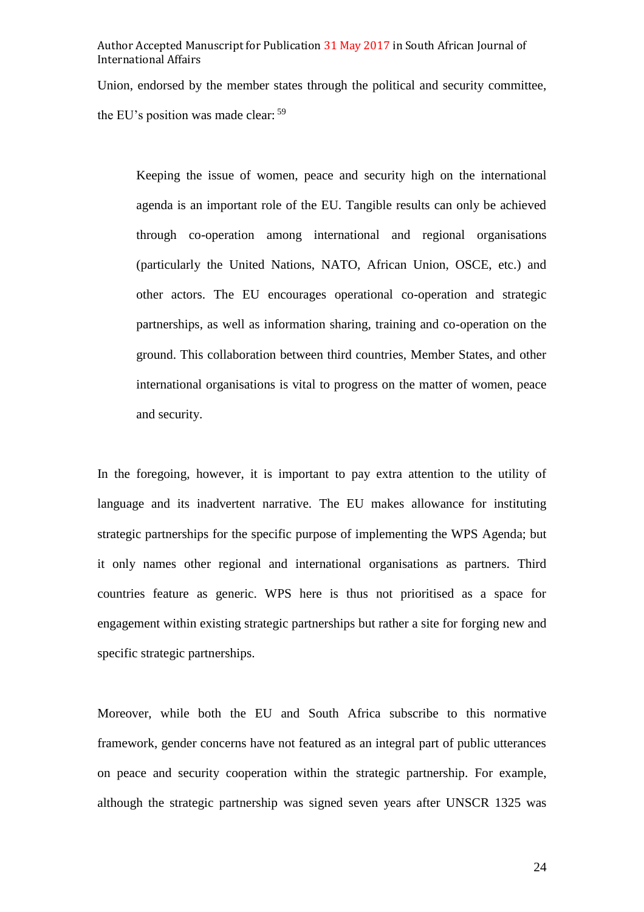Union, endorsed by the member states through the political and security committee, the EU's position was made clear: <sup>59</sup>

Keeping the issue of women, peace and security high on the international agenda is an important role of the EU. Tangible results can only be achieved through co-operation among international and regional organisations (particularly the United Nations, NATO, African Union, OSCE, etc.) and other actors. The EU encourages operational co-operation and strategic partnerships, as well as information sharing, training and co-operation on the ground. This collaboration between third countries, Member States, and other international organisations is vital to progress on the matter of women, peace and security.

In the foregoing, however, it is important to pay extra attention to the utility of language and its inadvertent narrative. The EU makes allowance for instituting strategic partnerships for the specific purpose of implementing the WPS Agenda; but it only names other regional and international organisations as partners. Third countries feature as generic. WPS here is thus not prioritised as a space for engagement within existing strategic partnerships but rather a site for forging new and specific strategic partnerships.

Moreover, while both the EU and South Africa subscribe to this normative framework, gender concerns have not featured as an integral part of public utterances on peace and security cooperation within the strategic partnership. For example, although the strategic partnership was signed seven years after UNSCR 1325 was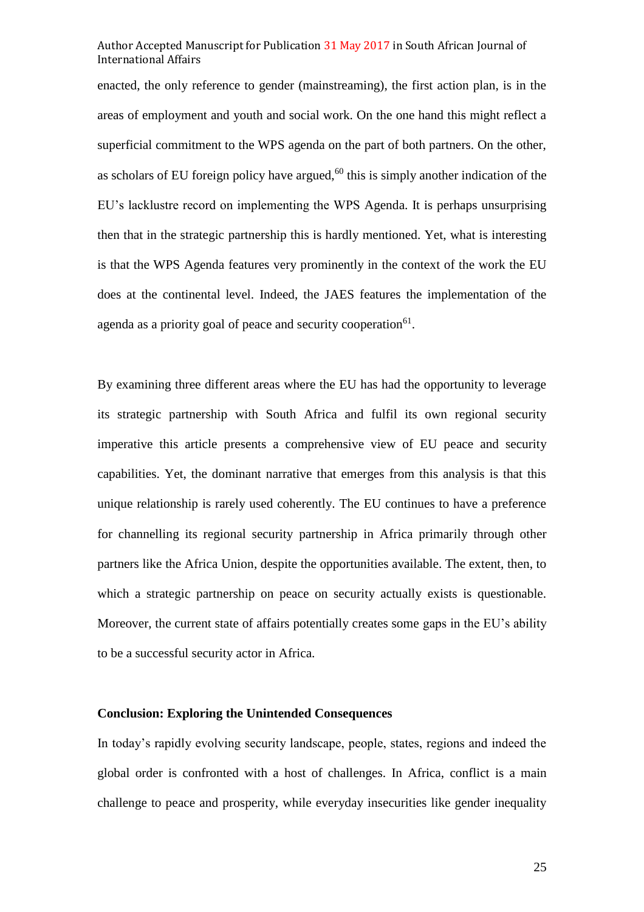enacted, the only reference to gender (mainstreaming), the first action plan, is in the areas of employment and youth and social work. On the one hand this might reflect a superficial commitment to the WPS agenda on the part of both partners. On the other, as scholars of EU foreign policy have argued, $60$  this is simply another indication of the EU's lacklustre record on implementing the WPS Agenda. It is perhaps unsurprising then that in the strategic partnership this is hardly mentioned. Yet, what is interesting is that the WPS Agenda features very prominently in the context of the work the EU does at the continental level. Indeed, the JAES features the implementation of the agenda as a priority goal of peace and security cooperation<sup>61</sup>.

By examining three different areas where the EU has had the opportunity to leverage its strategic partnership with South Africa and fulfil its own regional security imperative this article presents a comprehensive view of EU peace and security capabilities. Yet, the dominant narrative that emerges from this analysis is that this unique relationship is rarely used coherently. The EU continues to have a preference for channelling its regional security partnership in Africa primarily through other partners like the Africa Union, despite the opportunities available. The extent, then, to which a strategic partnership on peace on security actually exists is questionable. Moreover, the current state of affairs potentially creates some gaps in the EU's ability to be a successful security actor in Africa.

#### **Conclusion: Exploring the Unintended Consequences**

In today's rapidly evolving security landscape, people, states, regions and indeed the global order is confronted with a host of challenges. In Africa, conflict is a main challenge to peace and prosperity, while everyday insecurities like gender inequality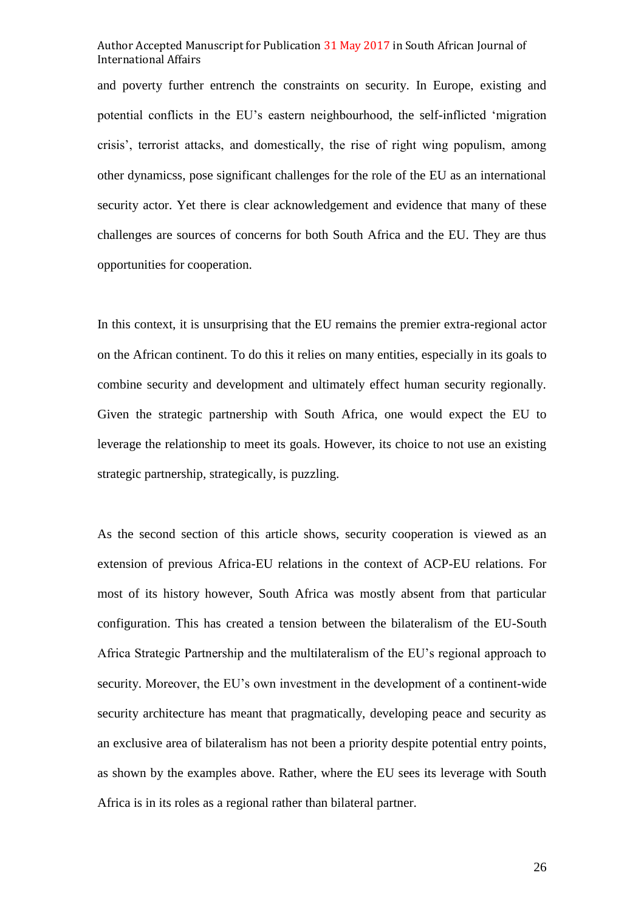and poverty further entrench the constraints on security. In Europe, existing and potential conflicts in the EU's eastern neighbourhood, the self-inflicted 'migration crisis', terrorist attacks, and domestically, the rise of right wing populism, among other dynamicss, pose significant challenges for the role of the EU as an international security actor. Yet there is clear acknowledgement and evidence that many of these challenges are sources of concerns for both South Africa and the EU. They are thus opportunities for cooperation.

In this context, it is unsurprising that the EU remains the premier extra-regional actor on the African continent. To do this it relies on many entities, especially in its goals to combine security and development and ultimately effect human security regionally. Given the strategic partnership with South Africa, one would expect the EU to leverage the relationship to meet its goals. However, its choice to not use an existing strategic partnership, strategically, is puzzling.

As the second section of this article shows, security cooperation is viewed as an extension of previous Africa-EU relations in the context of ACP-EU relations. For most of its history however, South Africa was mostly absent from that particular configuration. This has created a tension between the bilateralism of the EU-South Africa Strategic Partnership and the multilateralism of the EU's regional approach to security. Moreover, the EU's own investment in the development of a continent-wide security architecture has meant that pragmatically, developing peace and security as an exclusive area of bilateralism has not been a priority despite potential entry points, as shown by the examples above. Rather, where the EU sees its leverage with South Africa is in its roles as a regional rather than bilateral partner.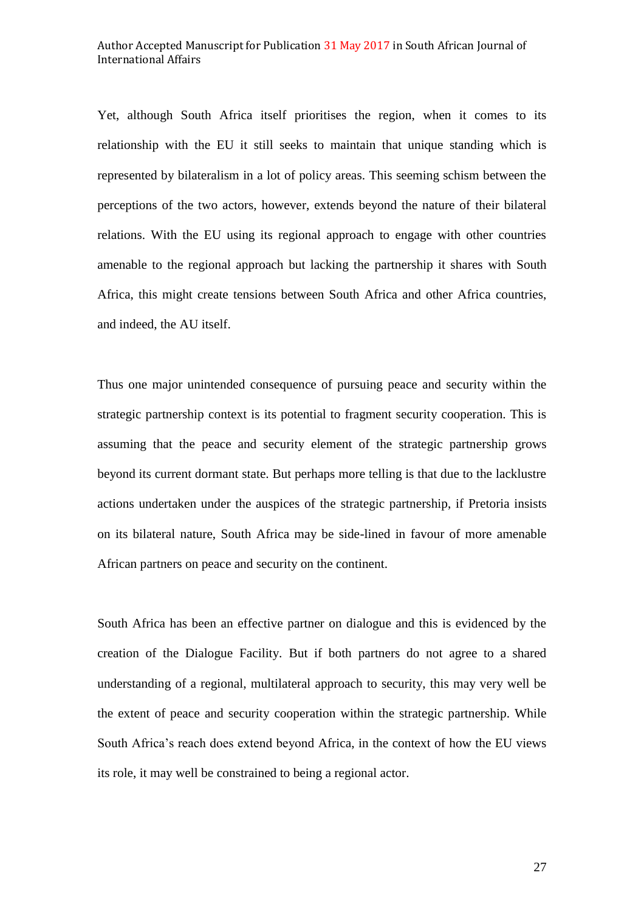Yet, although South Africa itself prioritises the region, when it comes to its relationship with the EU it still seeks to maintain that unique standing which is represented by bilateralism in a lot of policy areas. This seeming schism between the perceptions of the two actors, however, extends beyond the nature of their bilateral relations. With the EU using its regional approach to engage with other countries amenable to the regional approach but lacking the partnership it shares with South Africa, this might create tensions between South Africa and other Africa countries, and indeed, the AU itself.

Thus one major unintended consequence of pursuing peace and security within the strategic partnership context is its potential to fragment security cooperation. This is assuming that the peace and security element of the strategic partnership grows beyond its current dormant state. But perhaps more telling is that due to the lacklustre actions undertaken under the auspices of the strategic partnership, if Pretoria insists on its bilateral nature, South Africa may be side-lined in favour of more amenable African partners on peace and security on the continent.

South Africa has been an effective partner on dialogue and this is evidenced by the creation of the Dialogue Facility. But if both partners do not agree to a shared understanding of a regional, multilateral approach to security, this may very well be the extent of peace and security cooperation within the strategic partnership. While South Africa's reach does extend beyond Africa, in the context of how the EU views its role, it may well be constrained to being a regional actor.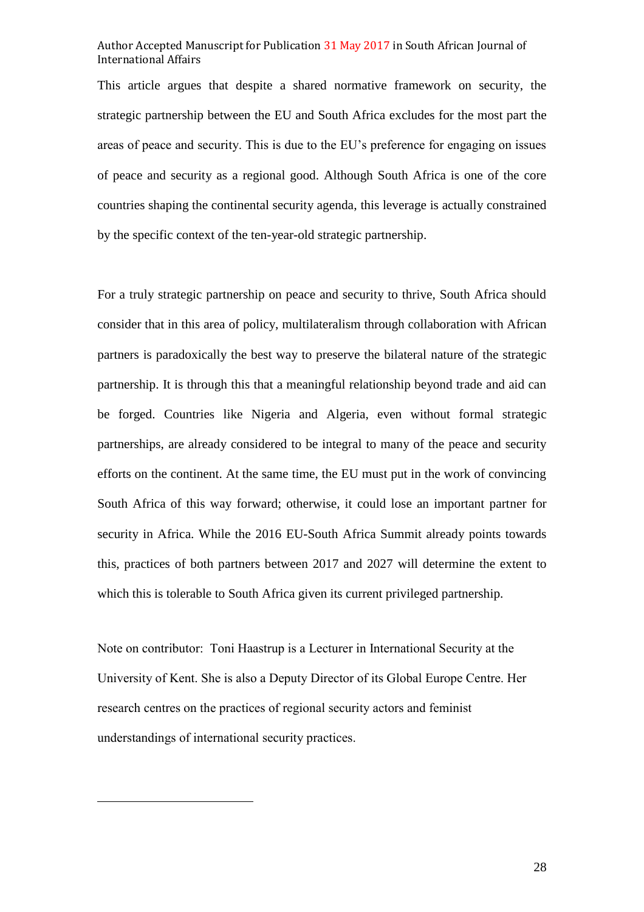This article argues that despite a shared normative framework on security, the strategic partnership between the EU and South Africa excludes for the most part the areas of peace and security. This is due to the EU's preference for engaging on issues of peace and security as a regional good. Although South Africa is one of the core countries shaping the continental security agenda, this leverage is actually constrained by the specific context of the ten-year-old strategic partnership.

For a truly strategic partnership on peace and security to thrive, South Africa should consider that in this area of policy, multilateralism through collaboration with African partners is paradoxically the best way to preserve the bilateral nature of the strategic partnership. It is through this that a meaningful relationship beyond trade and aid can be forged. Countries like Nigeria and Algeria, even without formal strategic partnerships, are already considered to be integral to many of the peace and security efforts on the continent. At the same time, the EU must put in the work of convincing South Africa of this way forward; otherwise, it could lose an important partner for security in Africa. While the 2016 EU-South Africa Summit already points towards this, practices of both partners between 2017 and 2027 will determine the extent to which this is tolerable to South Africa given its current privileged partnership.

Note on contributor: Toni Haastrup is a Lecturer in International Security at the University of Kent. She is also a Deputy Director of its Global Europe Centre. Her research centres on the practices of regional security actors and feminist understandings of international security practices.

 $\overline{\phantom{a}}$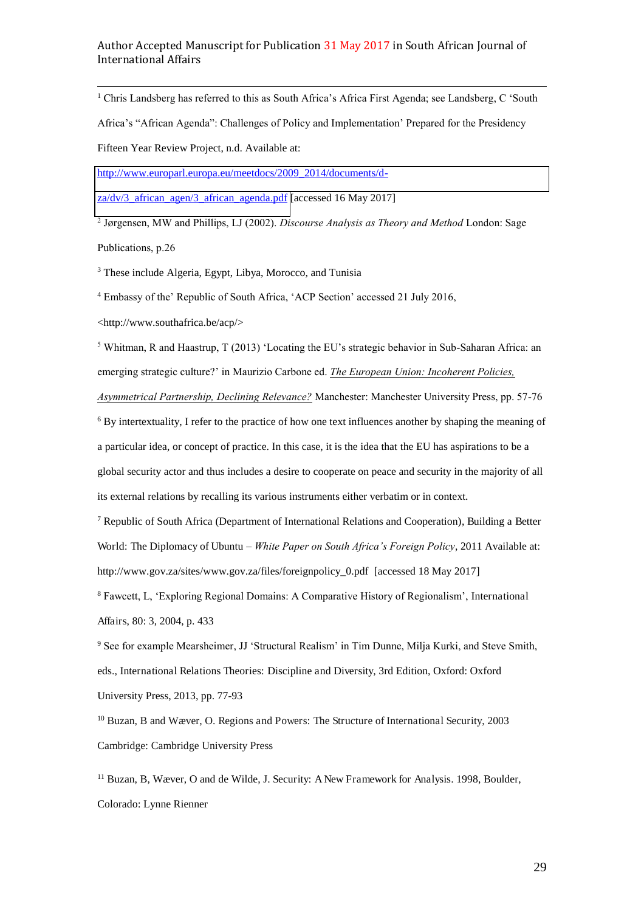j <sup>1</sup> Chris Landsberg has referred to this as South Africa's Africa First Agenda; see Landsberg, C 'South

Africa's "African Agenda": Challenges of Policy and Implementation' Prepared for the Presidency

Fifteen Year Review Project, n.d. Available at:

[http://www.europarl.europa.eu/meetdocs/2009\\_2014/documents/d-](http://www.europarl.europa.eu/meetdocs/2009_2014/documents/d-za/dv/3_african_agen/3_african_agenda.pdf)

[za/dv/3\\_african\\_agen/3\\_african\\_agenda.pdf](http://www.europarl.europa.eu/meetdocs/2009_2014/documents/d-za/dv/3_african_agen/3_african_agenda.pdf) [accessed 16 May 2017]

<sup>2</sup> Jørgensen, MW and Phillips, LJ (2002). *Discourse Analysis as Theory and Method* London: Sage Publications, p.26

<sup>3</sup> These include Algeria, Egypt, Libya, Morocco, and Tunisia

<sup>4</sup> Embassy of the' Republic of South Africa, 'ACP Section' accessed 21 July 2016,

<http://www.southafrica.be/acp/>

<sup>5</sup> Whitman, R and Haastrup, T (2013) 'Locating the EU's strategic behavior in Sub-Saharan Africa: an emerging strategic culture?' in Maurizio Carbone ed. *The European Union: Incoherent Policies, Asymmetrical Partnership, Declining Relevance?* Manchester: Manchester University Press, pp. 57-76

<sup>6</sup> By intertextuality, I refer to the practice of how one text influences another by shaping the meaning of a particular idea, or concept of practice. In this case, it is the idea that the EU has aspirations to be a global security actor and thus includes a desire to cooperate on peace and security in the majority of all its external relations by recalling its various instruments either verbatim or in context.

<sup>7</sup> Republic of South Africa (Department of International Relations and Cooperation), Building a Better World: The Diplomacy of Ubuntu *– White Paper on South Africa's Foreign Policy*, 2011 Available at: http://www.gov.za/sites/www.gov.za/files/foreignpolicy\_0.pdf [accessed 18 May 2017]

<sup>8</sup> Fawcett, L, 'Exploring Regional Domains: A Comparative History of Regionalism', International Affairs, 80: 3, 2004, p. 433

<sup>9</sup> See for example Mearsheimer, JJ 'Structural Realism' in Tim Dunne, Milja Kurki, and Steve Smith, eds., International Relations Theories: Discipline and Diversity, 3rd Edition, Oxford: Oxford University Press, 2013, pp. 77-93

<sup>10</sup> Buzan, B and Wæver, O. Regions and Powers: The Structure of International Security, 2003 Cambridge: Cambridge University Press

<sup>11</sup> Buzan, B, Wæver, O and de Wilde, J. Security: A New Framework for Analysis. 1998, Boulder, Colorado: Lynne Rienner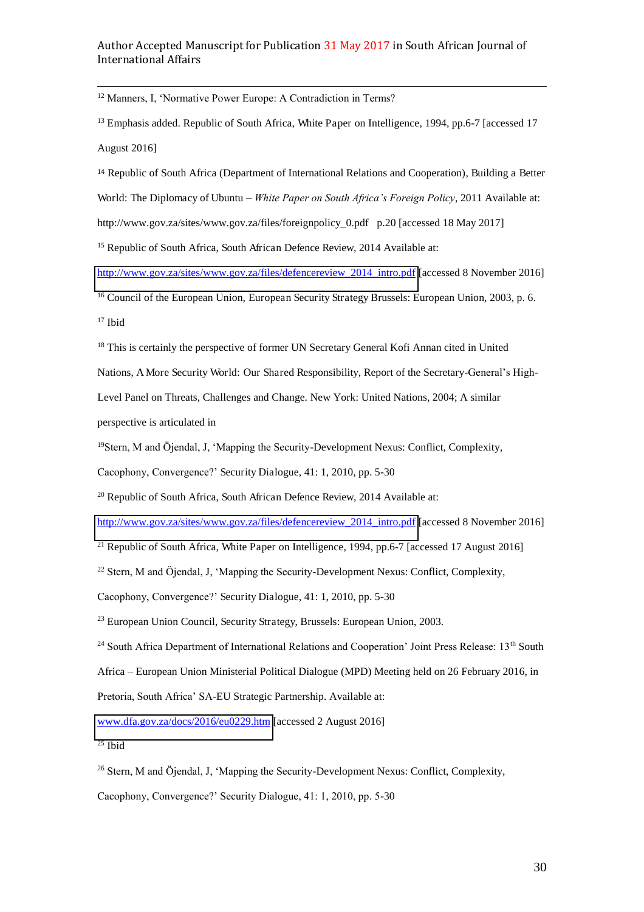j <sup>12</sup> Manners, I, 'Normative Power Europe: A Contradiction in Terms?

<sup>13</sup> Emphasis added. Republic of South Africa, White Paper on Intelligence, 1994, pp.6-7 [accessed 17 August 2016]

<sup>14</sup> Republic of South Africa (Department of International Relations and Cooperation), Building a Better World: The Diplomacy of Ubuntu *– White Paper on South Africa's Foreign Policy*, 2011 Available at: http://www.gov.za/sites/www.gov.za/files/foreignpolicy 0.pdf p.20 [accessed 18 May 2017]

<sup>15</sup> Republic of South Africa, South African Defence Review, 2014 Available at:

[http://www.gov.za/sites/www.gov.za/files/defencereview\\_2014\\_intro.pdf](http://www.gov.za/sites/www.gov.za/files/defencereview_2014_intro.pdf) [accessed 8 November 2016]

<sup>16</sup> Council of the European Union, European Security Strategy Brussels: European Union, 2003, p. 6. <sup>17</sup> Ibid

<sup>18</sup> This is certainly the perspective of former UN Secretary General Kofi Annan cited in United

Nations, A More Security World: Our Shared Responsibility, Report of the Secretary-General's High-

Level Panel on Threats, Challenges and Change. New York: United Nations, 2004; A similar perspective is articulated in

<sup>19</sup>Stern, M and Öjendal, J, 'Mapping the Security-Development Nexus: Conflict, Complexity,

Cacophony, Convergence?' Security Dialogue, 41: 1, 2010, pp. 5-30

<sup>20</sup> Republic of South Africa, South African Defence Review, 2014 Available at:

[http://www.gov.za/sites/www.gov.za/files/defencereview\\_2014\\_intro.pdf](http://www.gov.za/sites/www.gov.za/files/defencereview_2014_intro.pdf) [accessed 8 November 2016]

<sup>21</sup> Republic of South Africa, White Paper on Intelligence, 1994, pp.6-7 [accessed 17 August 2016]

 $22$  Stern, M and Öjendal, J, 'Mapping the Security-Development Nexus: Conflict, Complexity,

Cacophony, Convergence?' Security Dialogue, 41: 1, 2010, pp. 5-30

<sup>23</sup> European Union Council, Security Strategy, Brussels: European Union, 2003.

<sup>24</sup> South Africa Department of International Relations and Cooperation' Joint Press Release: 13<sup>th</sup> South

Africa – European Union Ministerial Political Dialogue (MPD) Meeting held on 26 February 2016, in

Pretoria, South Africa' SA-EU Strategic Partnership. Available at:

[www.dfa.gov.za/docs/2016/eu0229.htm](http://www.dfa.gov.za/docs/2016/eu0229.htm) [accessed 2 August 2016]

 $25$  Ibid

<sup>26</sup> Stern, M and Öjendal, J, 'Mapping the Security-Development Nexus: Conflict, Complexity,

Cacophony, Convergence?' Security Dialogue, 41: 1, 2010, pp. 5-30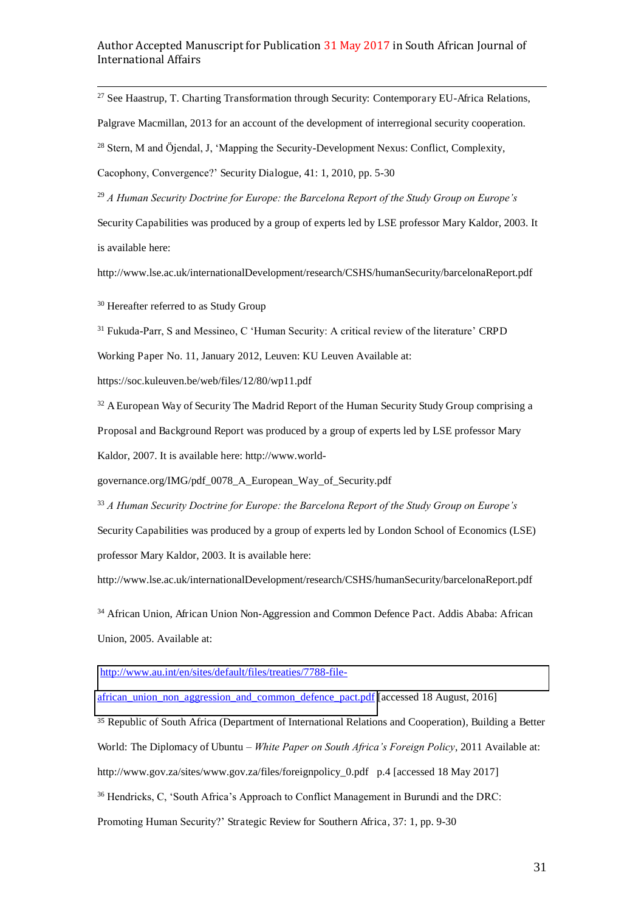j <sup>27</sup> See Haastrup, T. Charting Transformation through Security: Contemporary EU-Africa Relations,

Palgrave Macmillan, 2013 for an account of the development of interregional security cooperation.

<sup>28</sup> Stern, M and Öjendal, J, 'Mapping the Security-Development Nexus: Conflict, Complexity,

Cacophony, Convergence?' Security Dialogue, 41: 1, 2010, pp. 5-30

<sup>29</sup> *A Human Security Doctrine for Europe: the Barcelona Report of the Study Group on Europe's* 

Security Capabilities was produced by a group of experts led by LSE professor Mary Kaldor, 2003. It is available here:

http://www.lse.ac.uk/internationalDevelopment/research/CSHS/humanSecurity/barcelonaReport.pdf

<sup>30</sup> Hereafter referred to as Study Group

<sup>31</sup> Fukuda-Parr, S and Messineo, C 'Human Security: A critical review of the literature' CRPD

Working Paper No. 11, January 2012, Leuven: KU Leuven Available at:

https://soc.kuleuven.be/web/files/12/80/wp11.pdf

<sup>32</sup> A European Way of Security The Madrid Report of the Human Security Study Group comprising a Proposal and Background Report was produced by a group of experts led by LSE professor Mary Kaldor, 2007. It is available here: http://www.world-

governance.org/IMG/pdf\_0078\_A\_European\_Way\_of\_Security.pdf

<sup>33</sup> *A Human Security Doctrine for Europe: the Barcelona Report of the Study Group on Europe's*  Security Capabilities was produced by a group of experts led by London School of Economics (LSE) professor Mary Kaldor, 2003. It is available here:

http://www.lse.ac.uk/internationalDevelopment/research/CSHS/humanSecurity/barcelonaReport.pdf

<sup>34</sup> African Union, African Union Non-Aggression and Common Defence Pact. Addis Ababa: African Union, 2005. Available at:

[http://www.au.int/en/sites/default/files/treaties/7788-file-](http://www.au.int/en/sites/default/files/treaties/7788-file-african_union_non_aggression_and_common_defence_pact.pdf)

[african\\_union\\_non\\_aggression\\_and\\_common\\_defence\\_pact.pdf \[](http://www.au.int/en/sites/default/files/treaties/7788-file-african_union_non_aggression_and_common_defence_pact.pdf)accessed 18 August, 2016]

<sup>35</sup> Republic of South Africa (Department of International Relations and Cooperation), Building a Better World: The Diplomacy of Ubuntu *– White Paper on South Africa's Foreign Policy*, 2011 Available at: http://www.gov.za/sites/www.gov.za/files/foreignpolicy\_0.pdf p.4 [accessed 18 May 2017] <sup>36</sup> Hendricks, C, 'South Africa's Approach to Conflict Management in Burundi and the DRC: Promoting Human Security?' Strategic Review for Southern Africa, 37: 1, pp. 9-30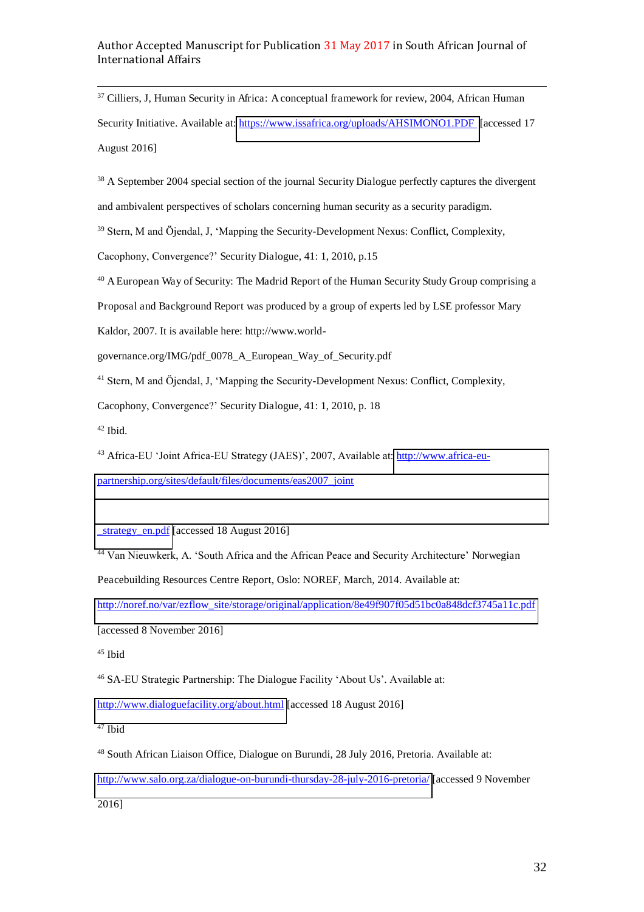j <sup>37</sup> Cilliers, J, Human Security in Africa: A conceptual framework for review, 2004, African Human Security Initiative. Available at:<https://www.issafrica.org/uploads/AHSIMONO1.PDF>[accessed 17 August 2016]

<sup>38</sup> A September 2004 special section of the journal Security Dialogue perfectly captures the divergent and ambivalent perspectives of scholars concerning human security as a security paradigm.

<sup>39</sup> Stern, M and Öjendal, J, 'Mapping the Security-Development Nexus: Conflict, Complexity,

Cacophony, Convergence?' Security Dialogue, 41: 1, 2010, p.15

<sup>40</sup> A European Way of Security: The Madrid Report of the Human Security Study Group comprising a

Proposal and Background Report was produced by a group of experts led by LSE professor Mary

Kaldor, 2007. It is available here: http://www.world-

governance.org/IMG/pdf\_0078\_A\_European\_Way\_of\_Security.pdf

<sup>41</sup> Stern, M and Öjendal, J, 'Mapping the Security-Development Nexus: Conflict, Complexity,

Cacophony, Convergence?' Security Dialogue, 41: 1, 2010, p. 18

 $42$  Ibid.

<sup>43</sup> Africa-EU 'Joint Africa-EU Strategy (JAES)', 2007, Available at: [http://www.africa-eu](http://www.africa-eu-partnership.org/sites/default/files/documents/eas2007_joint_strategy_en.pdf)[partnership.org/sites/default/files/documents/eas2007\\_joint](http://www.africa-eu-partnership.org/sites/default/files/documents/eas2007_joint_strategy_en.pdf) 

strategy\_en.pdf [accessed 18 August 2016]

<sup>44</sup> Van Nieuwkerk, A. 'South Africa and the African Peace and Security Architecture' Norwegian

Peacebuilding Resources Centre Report, Oslo: NOREF, March, 2014. Available at:

[http://noref.no/var/ezflow\\_site/storage/original/application/8e49f907f05d51bc0a848dcf3745a11c.pdf](http://noref.no/var/ezflow_site/storage/original/application/8e49f907f05d51bc0a848dcf3745a11c.pdf)

[accessed 8 November 2016]

<sup>45</sup> Ibid

<sup>46</sup> SA-EU Strategic Partnership: The Dialogue Facility 'About Us'. Available at:

<http://www.dialoguefacility.org/about.html>[accessed 18 August 2016]

<sup>47</sup> Ibid

<sup>48</sup> South African Liaison Office, Dialogue on Burundi, 28 July 2016, Pretoria. Available at:

<http://www.salo.org.za/dialogue-on-burundi-thursday-28-july-2016-pretoria/>[accessed 9 November

2016]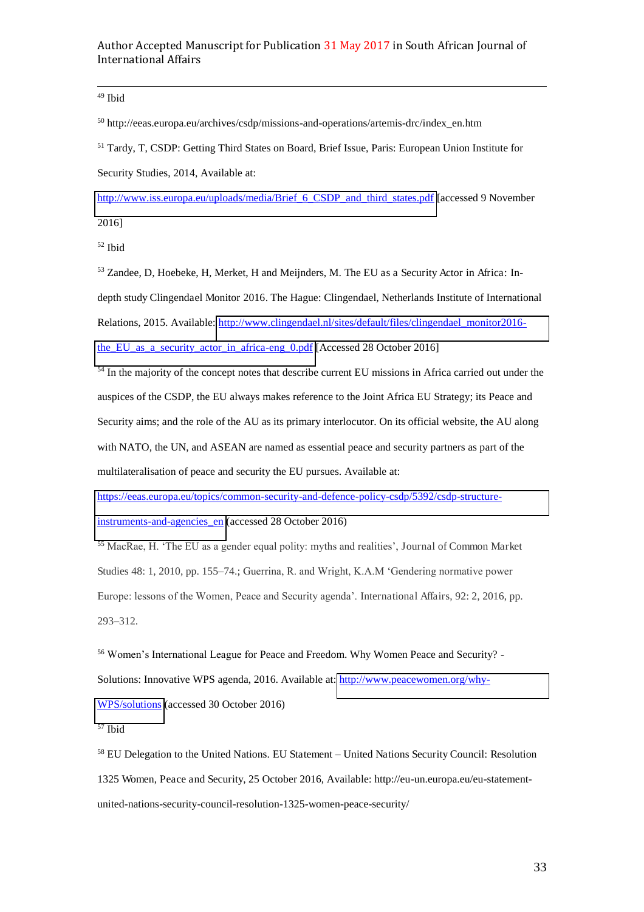j <sup>49</sup> Ibid

<sup>50</sup> http://eeas.europa.eu/archives/csdp/missions-and-operations/artemis-drc/index\_en.htm

<sup>51</sup> Tardy, T, CSDP: Getting Third States on Board, Brief Issue, Paris: European Union Institute for Security Studies, 2014, Available at:

[http://www.iss.europa.eu/uploads/media/Brief\\_6\\_CSDP\\_and\\_third\\_states.pdf](http://www.iss.europa.eu/uploads/media/Brief_6_CSDP_and_third_states.pdf) [accessed 9 November

2016]

<sup>52</sup> Ibid

53 Zandee, D, Hoebeke, H, Merket, H and Meijnders, M. The EU as a Security Actor in Africa: Indepth study Clingendael Monitor 2016. The Hague: Clingendael, Netherlands Institute of International Relations, 2015. Available: [http://www.clingendael.nl/sites/default/files/clingendael\\_monitor2016](http://www.clingendael.nl/sites/default/files/clingendael_monitor2016-the_EU_as_a_security_actor_in_africa-eng_0.pdf) [the\\_EU\\_as\\_a\\_security\\_actor\\_in\\_africa-eng\\_0.pdf](http://www.clingendael.nl/sites/default/files/clingendael_monitor2016-the_EU_as_a_security_actor_in_africa-eng_0.pdf) [Accessed 28 October 2016]

<sup>54</sup> In the majority of the concept notes that describe current EU missions in Africa carried out under the auspices of the CSDP, the EU always makes reference to the Joint Africa EU Strategy; its Peace and Security aims; and the role of the AU as its primary interlocutor. On its official website, the AU along with NATO, the UN, and ASEAN are named as essential peace and security partners as part of the multilateralisation of peace and security the EU pursues. Available at:

[https://eeas.europa.eu/topics/common-security-and-defence-policy-csdp/5392/csdp-structure-](https://eeas.europa.eu/topics/common-security-and-defence-policy-csdp/5392/csdp-structure-instruments-and-agencies_en)

instruments-and-agencies en (accessed 28 October 2016)

<sup>55</sup> MacRae, H. 'The EU as a gender equal polity: myths and realities', Journal of Common Market Studies 48: 1, 2010, pp. 155–74.; Guerrina, R. and Wright, K.A.M 'Gendering normative power Europe: lessons of the Women, Peace and Security agenda'. International Affairs, 92: 2, 2016, pp. 293–312.

<sup>56</sup> Women's International League for Peace and Freedom. Why Women Peace and Security? - Solutions: Innovative WPS agenda, 2016. Available at: [http://www.peacewomen.org/why-](http://www.peacewomen.org/why-WPS/solutions)[WPS/solutions \(](http://www.peacewomen.org/why-WPS/solutions)accessed 30 October 2016)

<sup>57</sup> Ibid

<sup>58</sup> EU Delegation to the United Nations. EU Statement *–* United Nations Security Council: Resolution 1325 Women, Peace and Security, 25 October 2016, Available: http://eu-un.europa.eu/eu-statementunited-nations-security-council-resolution-1325-women-peace-security/